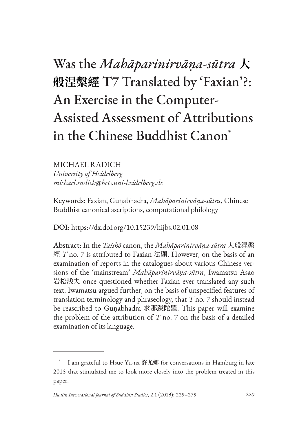# Was the *Mahāparinirvāṇa-sūtra* **大 般涅槃經** T7 Translated by 'Faxian'?: An Exercise in the Computer-Assisted Assessment of Attributions in the Chinese Buddhist Canon\*

## MICHAEL RADICH

*University of Heidelberg michael.radich@hcts.uni-heidelberg.de*

Keywords: Faxian, Guṇabhadra, *Mahāparinirvāṇa-sūtra*, Chinese Buddhist canonical ascriptions, computational philology

DOI: https://dx.doi.org/10.15239/hijbs.02.01.08

Abstract: In the *Taishō* canon, the *Mahāparinirvāṇa-sūtra* 大般涅槃 經 *T* no. 7 is attributed to Faxian 法顯. However, on the basis of an examination of reports in the catalogues about various Chinese versions of the 'mainstream' *Mahāparinirvāṇa-sūtra*, Iwamatsu Asao 岩松浅夫 once questioned whether Faxian ever translated any such text. Iwamatsu argued further, on the basis of unspecified features of translation terminology and phraseology, that *T* no. 7 should instead be reascribed to Guṇabhadra 求那跋陀羅. This paper will examine the problem of the attribution of *T* no. 7 on the basis of a detailed examination of its language.

I am grateful to Hsue Yu-na 許尤娜 for conversations in Hamburg in late 2015 that stimulated me to look more closely into the problem treated in this paper.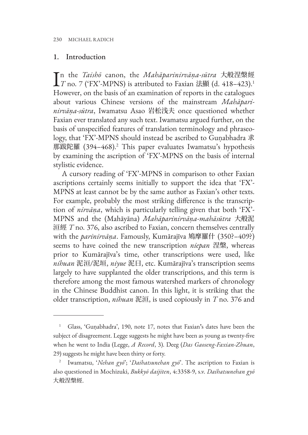### 1. Introduction

In the *Taishō* canon, the *Mahāparinirvāṇa-sūtra* 大般涅槃經<br>*IT* no. 7 ('FX'-MPNS) is attributed to Faxian 法顯 (d. 418–423).<sup>1</sup> n the *Taishō* canon, the *Mahāparinirvāṇa-sūtra* 大般涅槃經 However, on the basis of an examination of reports in the catalogues about various Chinese versions of the mainstream *Mahāparinirvāṇa-sūtra*, Iwamatsu Asao 岩松浅夫 once questioned whether Faxian ever translated any such text. Iwamatsu argued further, on the basis of unspecified features of translation terminology and phraseology, that 'FX'-MPNS should instead be ascribed to Guṇabhadra 求 那跋陀羅 (394–468).2 This paper evaluates Iwamatsu's hypothesis by examining the ascription of 'FX'-MPNS on the basis of internal stylistic evidence.

A cursory reading of 'FX'-MPNS in comparison to other Faxian ascriptions certainly seems initially to support the idea that 'FX'- MPNS at least cannot be by the same author as Faxian's other texts. For example, probably the most striking difference is the transcription of *nirvāṇa*, which is particularly telling given that both 'FX'- MPNS and the (Mahāyāna) *Mahāparinirvāṇa-mahāsūtra* 大般泥 洹經 *T* no. 376, also ascribed to Faxian, concern themselves centrally with the *parinirvāṇa*. Famously, Kumārajīva 鳩摩羅什 (350?–409?) seems to have coined the new transcription *niepan* 涅槃, whereas prior to Kumārajīva's time, other transcriptions were used, like *nihuan* 泥洹/泥垣, *niyue* 泥曰, etc. Kumārajīva's transcription seems largely to have supplanted the older transcriptions, and this term is therefore among the most famous watershed markers of chronology in the Chinese Buddhist canon. In this light, it is striking that the older transcription, *nihuan* 泥洹, is used copiously in *T* no. 376 and

<sup>1</sup> Glass, 'Guṇabhadra', 190, note 17, notes that Faxian**'**s dates have been the subject of disagreement. Legge suggests he might have been as young as twenty-five when he went to India (Legge, *A Record*, 3). Deeg (*Das Gaoseng-Faxian-Zhuan*, 29) suggests he might have been thirty or forty.

<sup>2</sup> Iwamatsu, '*Nehan gyō*'; '*Daihatsunehan gyō*'. The ascription to Faxian is also questioned in Mochizuki, *Bukkyō daijiten*, 4:3358-9, s.v. *Daihatsunehan gyō* 大般涅槃經.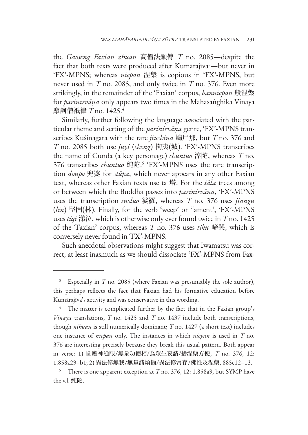the *Gaoseng Faxian zhuan* 高僧法顯傳 *T* no. 2085—despite the fact that both texts were produced after Kumārajīva<sup>3</sup>—but never in 'FX'-MPNS; whereas *niepan* 涅槃 is copious in 'FX'-MPNS, but never used in *T* no. 2085, and only twice in *T* no. 376. Even more strikingly, in the remainder of the 'Faxian' corpus, *banniepan* 般涅槃 for *parinirvāṇa* only appears two times in the Mahāsāṅghika Vinaya 摩訶僧祇律 *T* no. 1425.<sup>4</sup>

Similarly, further following the language associated with the particular theme and setting of the *parinirvāṇa* genre, 'FX'-MPNS transcribes Kuśinagara with the rare *jiushina* 鳩尸那, but *T* no. 376 and *T* no. 2085 both use *juyi* (*cheng*) 拘夷(城). 'FX'-MPNS transcribes the name of Cunda (a key personage) *chuntuo* 淳陀, whereas *T* no. 376 transcribes *chuntuo* 純陀. 5 'FX'-MPNS uses the rare transcription *doupo* 兜婆 for *stūpa*, which never appears in any other Faxian text, whereas other Faxian texts use ta 塔. For the *śāla* trees among or between which the Buddha passes into *parinirvāṇa*, 'FX'-MPNS uses the transcription *suoluo* 娑羅, whereas *T* no. 376 uses *jiangu* (*lin*) 堅固(林). Finally, for the verb 'weep' or 'lament', 'FX'-MPNS uses *tiqi* 涕泣, which is otherwise only ever found twice in *T* no. 1425 of the 'Faxian' corpus, whereas *T* no. 376 uses *tiku* 啼哭, which is conversely never found in 'FX'-MPNS.

Such anecdotal observations might suggest that Iwamatsu was correct, at least inasmuch as we should dissociate 'FX'-MPNS from Fax-

<sup>3</sup> Especially in *T* no. 2085 (where Faxian was presumably the sole author), this perhaps reflects the fact that Faxian had his formative education before Kumārajīva's activity and was conservative in this wording.

<sup>&</sup>lt;sup>4</sup> The matter is complicated further by the fact that in the Faxian group's *Vinaya* translations, *T* no. 1425 and *T* no. 1437 include both transcriptions, though *nihuan* is still numerically dominant; *T* no. 1427 (a short text) includes one instance of *niepan* only. The instances in which *niepan* is used in *T* no. 376 are interesting precisely because they break this usual pattern. Both appear in verse: 1) 圓應神通眼/無量功德相/為眾生哀請/捨涅槃方便, *T* no. 376, 12: 1.858a29–b1; 2) 異法修無我/無量諸煩惱/異法修常存/佛性及涅槃, 885c12–13.

<sup>5</sup> There is one apparent exception at *T* no. 376, 12: 1.858a9, but SYMP have the v.l. 純陀.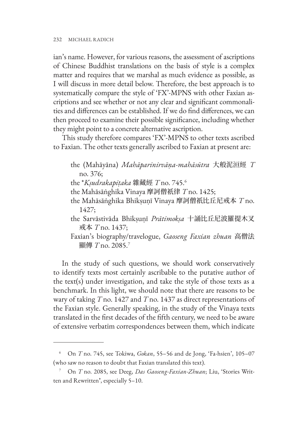ian's name. However, for various reasons, the assessment of ascriptions of Chinese Buddhist translations on the basis of style is a complex matter and requires that we marshal as much evidence as possible, as I will discuss in more detail below. Therefore, the best approach is to systematically compare the style of 'FX'-MPNS with other Faxian ascriptions and see whether or not any clear and significant commonalities and differences can be established. If we do find differences, we can then proceed to examine their possible significance, including whether they might point to a concrete alternative ascription.

This study therefore compares 'FX'-MPNS to other texts ascribed to Faxian. The other texts generally ascribed to Faxian at present are:

- the (Mahāyāna) *Mahāparinirvāṇa-mahāsūtra* 大般泥洹經 *T* no. 376;
- the \**Kṣudrakapiṭaka* 雜藏經 *T* no. 745.6
- the Mahāsāṅghika Vinaya 摩訶僧祇律 *T* no. 1425;
- the Mahāsāṅghika Bhikṣuṇī Vinaya 摩訶僧祇比丘尼戒本 *T* no. 1427;
- the Sarvāstivāda Bhikṣuṇī *Prātimokṣa* 十誦比丘尼波羅提木叉 戒本 *T* no. 1437;
- Faxian's biography/travelogue, *Gaoseng Faxian zhuan* 高僧法 顯傳 *T* no. 2085.7

In the study of such questions, we should work conservatively to identify texts most certainly ascribable to the putative author of the text(s) under investigation, and take the style of those texts as a benchmark. In this light, we should note that there are reasons to be wary of taking *T* no. 1427 and *T* no. 1437 as direct representations of the Faxian style. Generally speaking, in the study of the Vinaya texts translated in the first decades of the fifth century, we need to be aware of extensive verbatim correspondences between them, which indicate

<sup>6</sup> On *T* no. 745, see Tokiwa, *Gokan*, 55–56 and de Jong, 'Fa-hsien', 105–07 (who saw no reason to doubt that Faxian translated this text).

<sup>7</sup> On *T* no. 2085, see Deeg, *Das Gaoseng-Faxian-Zhuan*; Liu, 'Stories Written and Rewritten**'**, especially 5–10.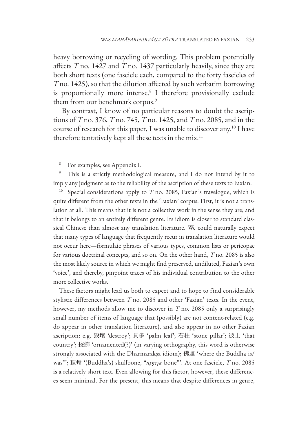heavy borrowing or recycling of wording. This problem potentially affects *T* no. 1427 and *T* no. 1437 particularly heavily, since they are both short texts (one fascicle each, compared to the forty fascicles of *T* no. 1425), so that the dilution affected by such verbatim borrowing is proportionally more intense.8 I therefore provisionally exclude them from our benchmark corpus.<sup>9</sup>

By contrast, I know of no particular reasons to doubt the ascriptions of *T* no. 376, *T* no. 745, *T* no. 1425, and *T* no. 2085, and in the course of research for this paper, I was unable to discover any.10 I have therefore tentatively kept all these texts in the mix.<sup>11</sup>

For examples, see Appendix I.

This is a strictly methodological measure, and I do not intend by it to imply any judgment as to the reliability of the ascription of these texts to Faxian.

<sup>10</sup> Special considerations apply to  $T$  no. 2085, Faxian's travelogue, which is quite different from the other texts in the 'Faxian' corpus. First, it is not a translation at all. This means that it is not a collective work in the sense they are; and that it belongs to an entirely different genre. Its idiom is closer to standard classical Chinese than almost any translation literature. We could naturally expect that many types of language that frequently recur in translation literature would not occur here—formulaic phrases of various types, common lists or pericopae for various doctrinal concepts, and so on. On the other hand, *T* no. 2085 is also the most likely source in which we might find preserved, undiluted, Faxian's own 'voice', and thereby, pinpoint traces of his individual contribution to the other more collective works.

These factors might lead us both to expect and to hope to find considerable stylistic differences between *T* no. 2085 and other 'Faxian' texts. In the event, however, my methods allow me to discover in *T* no. 2085 only a surprisingly small number of items of language that (possibly) are not content-related (e.g. do appear in other translation literature), and also appear in no other Faxian ascription: e.g. 毀壞 'destroy'; 貝多 'palm leaf'; 石柱 'stone pillar'; 彼土 'that country'; 挍飾 'ornamented(?)' (in varying orthography, this word is otherwise strongly associated with the Dharmarakṣa idiom); 佛處 'where the Buddha is/ was'"; 頂骨 '(Buddha's) skullbone, "*uṣṇīṣa* bone"'. At one fascicle, *T* no. 2085 is a relatively short text. Even allowing for this factor, however, these differences seem minimal. For the present, this means that despite differences in genre,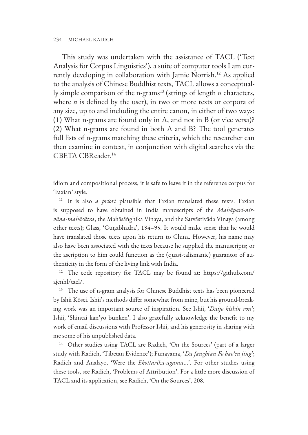This study was undertaken with the assistance of TACL ('Text Analysis for Corpus Linguistics'), a suite of computer tools I am currently developing in collaboration with Jamie Norrish.12 As applied to the analysis of Chinese Buddhist texts, TACL allows a conceptually simple comparison of the n-grams13 (strings of length *n* characters, where *n* is defined by the user), in two or more texts or corpora of any size, up to and including the entire canon, in either of two ways: (1) What n-grams are found only in A, and not in B (or vice versa)? (2) What n-grams are found in both A and B? The tool generates full lists of n-grams matching these criteria, which the researcher can then examine in context, in conjunction with digital searches via the CBETA CBReader.14

idiom and compositional process, it is safe to leave it in the reference corpus for 'Faxian' style.

<sup>11</sup> It is also *a priori* plausible that Faxian translated these texts. Faxian is supposed to have obtained in India manuscripts of the *Mahāpari-nirvāṇa-mahāsūtra*, the Mahāsāṅghika Vinaya, and the Sarvāstivāda Vinaya (among other texts); Glass, 'Guṇabhadra', 194–95. It would make sense that he would have translated those texts upon his return to China. However, his name may also have been associated with the texts because he supplied the manuscripts; or the ascription to him could function as the (quasi-talismanic) guarantor of authenticity in the form of the living link with India.

<sup>12</sup> The code repository for TACL may be found at: https://github.com/ ajenhl/tacl/.

<sup>13</sup> The use of n-gram analysis for Chinese Buddhist texts has been pioneered by Ishii Kōsei. Ishii**'**s methods differ somewhat from mine, but his ground-breaking work was an important source of inspiration. See Ishii, '*Daijō kishin ron*'; Ishii, 'Shintai kan'yo bunken'. I also gratefully acknowledge the benefit to my work of email discussions with Professor Ishii, and his generosity in sharing with me some of his unpublished data.

<sup>14</sup> Other studies using TACL are Radich, 'On the Sources' (part of a larger study with Radich, 'Tibetan Evidence'); Funayama, '*Da fangbian Fo bao'en jing*'; Radich and Anālayo, 'Were the *Ekottarika-āgama*...'. For other studies using these tools, see Radich, 'Problems of Attribution'. For a little more discussion of TACL and its application, see Radich, 'On the Sources', 208.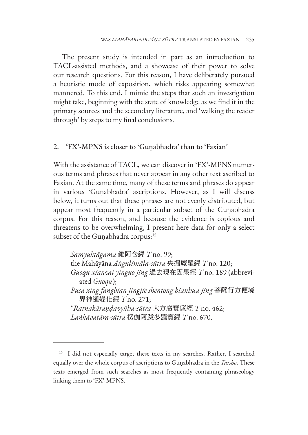The present study is intended in part as an introduction to TACL-assisted methods, and a showcase of their power to solve our research questions. For this reason, I have deliberately pursued a heuristic mode of exposition, which risks appearing somewhat mannered. To this end, I mimic the steps that such an investigation might take, beginning with the state of knowledge as we find it in the primary sources and the secondary literature, and 'walking the reader through' by steps to my final conclusions.

## 2. 'FX'-MPNS is closer to 'Guṇabhadra' than to 'Faxian'

With the assistance of TACL, we can discover in 'FX'-MPNS numerous terms and phrases that never appear in any other text ascribed to Faxian. At the same time, many of these terms and phrases do appear in various 'Guṇabhadra' ascriptions. However, as I will discuss below, it turns out that these phrases are not evenly distributed, but appear most frequently in a particular subset of the Guṇabhadra corpus. For this reason, and because the evidence is copious and threatens to be overwhelming, I present here data for only a select subset of the Guṇabhadra corpus:<sup>15</sup>

*Saṃyuktāgama* 雜阿含經 *T* no. 99; the Mahāyāna *Aṅgulimāla-sūtra* 央掘魔羅經 *T* no. 120; *Guoqu xianzai yinguo jing* 過去現在因果經 *T* no. 189 (abbreviated *Guoqu*); *Pusa xing fangbian jingjie shentong bianhua jing* 菩薩行方便境 界神通變化經 *T* no. 271; \**Ratnakāraṇḍavyūha-sūtra* 大方廣寶篋經 *T* no. 462; *Laṅkāvatāra-sūtra* 楞伽阿跋多羅寶經 *T* no. 670.

<sup>&</sup>lt;sup>15</sup> I did not especially target these texts in my searches. Rather, I searched equally over the whole corpus of ascriptions to Guṇabhadra in the *Taishō*. These texts emerged from such searches as most frequently containing phraseology linking them to 'FX'-MPNS.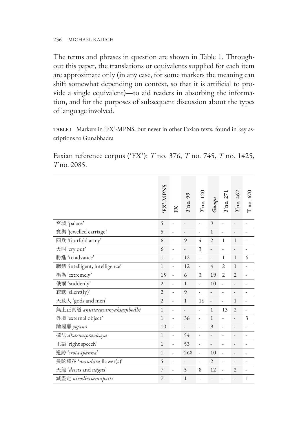The terms and phrases in question are shown in Table 1. Throughout this paper, the translations or equivalents supplied for each item are approximate only (in any case, for some markers the meaning can shift somewhat depending on context, so that it is artificial to provide a single equivalent)—to aid readers in absorbing the information, and for the purposes of subsequent discussion about the types of language involved.

**TABLE 1** Markers in 'FX'-MPNS, but never in other Faxian texts, found in key ascriptions to Guṇabhadra

Faxian reference corpus ('FX'): *T* no. 376, *T* no. 745, *T* no. 1425, *T* no. 2085.

|                                | FX'-MPNS       | $_{\rm K}$     | $T_{100}$ , 99 | $T_{\rm 100}$ , 120 | G u o q u      | $T$ no. 271    | $T$ no. 462    | $T$ no. 670  |
|--------------------------------|----------------|----------------|----------------|---------------------|----------------|----------------|----------------|--------------|
| 宮城 'palace'                    | 5              | $\overline{a}$ | $\overline{a}$ | L                   | 9              | $\overline{a}$ | $\overline{a}$ | L            |
| 寶輿 'jewelled carriage'         | 5              |                |                |                     | $\mathbf{1}$   |                | $\overline{a}$ | ٠            |
| 四兵 'fourfold army'             | 6              | L,             | 9              | 4                   | $\overline{c}$ | $\mathbf{1}$   | $\mathbf{1}$   | ٠            |
| 大叫'cry out'                    | 6              | ÷              | $\overline{a}$ | 3                   | $\overline{a}$ | L              |                |              |
| 勝進 'to advance'                | $\mathbf{1}$   | ÷,             | 12             | $\overline{a}$      | $\frac{1}{2}$  | $\mathbf{1}$   | $\mathbf{1}$   | 6            |
| 聰慧 'intelligent, intelligence' | $\mathbf{1}$   | ÷,             | 12             | $\overline{a}$      | $\overline{4}$ | $\overline{2}$ | $\mathbf{1}$   | ä,           |
| 極為 'extremely'                 | 15             | Ĭ.             | 6              | 3                   | 19             | $\overline{2}$ | $\overline{2}$ | L,           |
| 俄爾 'suddenly'                  | $\overline{2}$ | ÷,             | $\mathbf{1}$   | $\overline{a}$      | 10             | $\overline{a}$ | $\overline{a}$ |              |
| 寂默 'silent(ly)'                | $\overline{2}$ |                | 9              |                     |                |                | $\overline{a}$ |              |
| 天及人 'gods and men'             | $\overline{2}$ | L,             | $\mathbf{1}$   | 16                  | $\overline{a}$ | L,             | $\mathbf{1}$   | ٠            |
| 無上正真道 anuttarasamyaksambodhi   | $\mathbf{1}$   | ÷,             | -              | $\overline{a}$      | $\mathbf{1}$   | 13             | $\overline{2}$ | -            |
| 外境 'external object'           | $\mathbf{1}$   | ÷,             | 36             | $\overline{a}$      | $\mathbf{1}$   | ,              | L,             | 3            |
| 踰闍那 yojana                     | 10             | ÷,             | $\frac{1}{2}$  | L,                  | 9              | L,             | $\overline{a}$ | ٠            |
| 擇法 dharmapravicaya             | $\mathbf{1}$   | ÷              | 54             | ÷                   | $\overline{a}$ | ÷,             |                | ٠            |
| 正語 'right speech'              | $\mathbf{1}$   | ÷,             | 53             | $\overline{a}$      | $\frac{1}{2}$  | ÷,             | $\overline{a}$ | ٠            |
| 道跡 'srotaāpanna'               | $\mathbf{1}$   | Ĭ.             | 268            | $\overline{a}$      | 10             | L,             |                |              |
| 曼陀羅花 'mandāra flower(s)'       | 5              | ÷              | ,              | $\frac{1}{2}$       | $\overline{2}$ | ÷,             |                | -            |
| 天龍 'devas and nāgas'           | 7              |                | $\varsigma$    | 8                   | 12             | $\overline{a}$ | $\overline{2}$ | ٠            |
| 滅盡定 nirodhasamāpatti           | 7              |                | 1              | $\overline{a}$      |                |                | -              | $\mathbf{1}$ |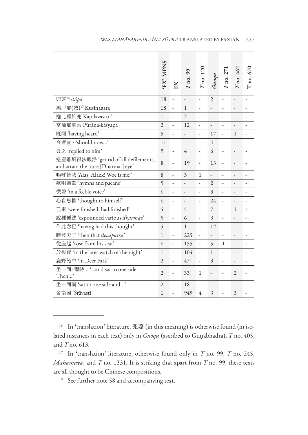|                                                                             | FX'-MPNS       | EX             | $T$ no. $99$             | $T$ no. 120    | Guoqu          | $T$ no. $27$   | <b>T</b> no. 462         | $\Gamma$ no. 670 |
|-----------------------------------------------------------------------------|----------------|----------------|--------------------------|----------------|----------------|----------------|--------------------------|------------------|
| 兜婆 <sup>16</sup> stūpa                                                      | 18             |                |                          | $\overline{a}$ | $\overline{2}$ | L              | $\overline{a}$           |                  |
| 鳩尸那(城) <sup>17</sup> Kuśinagara                                             | 18             |                | $\mathbf{1}$             | $\overline{a}$ | -              | ÷,             | L,                       | $\overline{a}$   |
| 迦比羅斾兜 Kapilavastu <sup>18</sup>                                             | $\mathbf{1}$   | $\overline{a}$ | 7                        |                |                | L,             | $\overline{a}$           |                  |
| 富蘭那迦葉 Pūrāṇa-kāśyapa                                                        | $\overline{2}$ | $\overline{a}$ | 12                       | L              |                | $\overline{a}$ | $\overline{a}$           |                  |
| 既聞 'having heard'                                                           | 5              | ÷,             | -                        |                | 17             | ÷,             | $\mathbf{1}$             | $\overline{a}$   |
| 今者宜~'should now'                                                            | 11             |                | -                        | L,             | $\overline{4}$ | L,             | $\overline{a}$           |                  |
| 答之 'replied to him'                                                         | $\circ$        |                | 4                        |                | 6              |                | $\overline{a}$           |                  |
| 遠塵離垢得法眼淨 'get rid of all defilements,<br>and attain the pure [Dharma-] eye' | 8              |                | 19                       |                | 13             |                | L,                       |                  |
| 鳴呼苦哉 'Alas! Alack! Woe is me!'                                              | 8              |                | 3                        | $\mathbf{1}$   | $\overline{a}$ | J,             | $\overline{a}$           |                  |
| 歌唄讚歎 'hymns and paeans'                                                     | 5              | L,             | $\overline{a}$           |                | $\overline{2}$ | $\overline{a}$ | $\overline{a}$           |                  |
| 微聲 'in a feeble voice'                                                      | 6              | $\overline{a}$ | $\overline{a}$           |                | 3              | $\overline{a}$ |                          |                  |
| 心自思惟 'thought to himself'                                                   | 6              |                |                          | L              | 24             |                |                          |                  |
| 已畢 'were finished, had finished'                                            | 5              | ÷,             | $\overline{\phantom{0}}$ |                | 7              | $\overline{a}$ | $\mathbf{1}$             | 1                |
| 說種種法 'expounded various dharmas'                                            | 5              | L,             | 6                        |                | 3              | $\overline{a}$ | L,                       |                  |
| 作此念已 'having had this thought'                                              | 5              | L,             | $\mathbf{1}$             |                | 12             | $\overline{a}$ | $\overline{a}$           |                  |
| 時彼天子 'then that <i>devaputra</i> '                                          | $\mathbf{1}$   | $\overline{a}$ | 225                      |                | $\overline{a}$ | $\overline{a}$ | $\overline{a}$           |                  |
| 從座起 'rose from his seat'                                                    | 6              | ÷,             | 155                      |                | $\varsigma$    | $\mathbf{1}$   | $\overline{\phantom{0}}$ | $\overline{a}$   |
| 於後夜 'in the later watch of the night'                                       | $\mathbf{1}$   | $\overline{a}$ | 104                      | L              | $\mathbf{1}$   |                | $\overline{a}$           |                  |
| 鹿野苑中 'in Deer Park'                                                         | $\overline{2}$ | ÷,             | 47                       | $\overline{a}$ | 3              | ÷,             | $\overline{\phantom{0}}$ | $\frac{1}{2}$    |
| 坐一面。爾時 'and sat to one side.<br>Then'                                       | $\overline{2}$ |                | 33                       | $\mathbf{1}$   |                |                | $\overline{2}$           |                  |
| 一面而 'sat to one side and'<br>坐-                                             | $\overline{2}$ |                | 18                       |                |                |                | $\overline{a}$           |                  |
| 舍衛國 'Śrāvastī'                                                              | $\mathbf{1}$   |                | 949                      | 4              | 3              | ÷,             | 3                        | $\overline{a}$   |

<sup>&</sup>lt;sup>16</sup> In 'translation' literature, 兜婆 (in this meaning) is otherwise found (in isolated instances in each text) only in *Guoqu* (ascribed to Guṇabhadra), *T* no. 405, and *T* no. 613.

<sup>17</sup> In 'translation' literature, otherwise found only in *T* no. 99, *T* no. 245, *Mahāmāyā*, and *T* no. 1331. It is striking that apart from *T* no. 99, these texts are all thought to be Chinese compositions.

<sup>&</sup>lt;sup>18</sup> See further note 58 and accompanying text.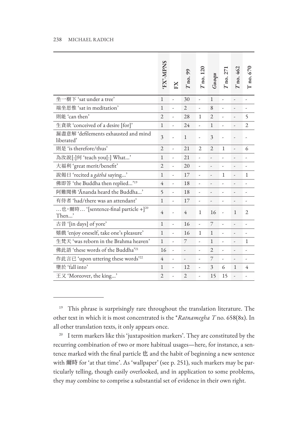|                                                                                                                                                                                                                                                                                                                                                                                                                                                                                                                                                                                                                                                                        | FX'-MPNS       | K                        | no. 99         | $T$ no. 120    | Guoqu          | $T$ no. $27$             | no. 462        | $T$ no. $670$            |
|------------------------------------------------------------------------------------------------------------------------------------------------------------------------------------------------------------------------------------------------------------------------------------------------------------------------------------------------------------------------------------------------------------------------------------------------------------------------------------------------------------------------------------------------------------------------------------------------------------------------------------------------------------------------|----------------|--------------------------|----------------|----------------|----------------|--------------------------|----------------|--------------------------|
| 坐一樹下 'sat under a tree'                                                                                                                                                                                                                                                                                                                                                                                                                                                                                                                                                                                                                                                | 1              | ÷,                       | 30             | $\overline{a}$ | 1              | L,                       | -              | $\overline{\phantom{a}}$ |
| 端坐思惟 'sat in meditation'                                                                                                                                                                                                                                                                                                                                                                                                                                                                                                                                                                                                                                               | 1              | L                        | 2              | -              | 8              | ÷,                       | -              | ÷,                       |
| 則能 'can then'                                                                                                                                                                                                                                                                                                                                                                                                                                                                                                                                                                                                                                                          | $\overline{2}$ | ÷                        | 28             | 1              | $\overline{2}$ | ÷                        | -              | 5                        |
| 生貪欲 'conceived of a desire [for]'                                                                                                                                                                                                                                                                                                                                                                                                                                                                                                                                                                                                                                      | 1              | -                        | 24             | -              | 1              | -                        | -              | $\overline{c}$           |
| 漏盡意解 'defilements exhausted and mind<br>liberated'                                                                                                                                                                                                                                                                                                                                                                                                                                                                                                                                                                                                                     | 3              |                          | 1              | $\overline{a}$ | 3              |                          | L,             | $\overline{a}$           |
| 則是 'is therefore/thus'                                                                                                                                                                                                                                                                                                                                                                                                                                                                                                                                                                                                                                                 | $\overline{2}$ | J,                       | 21             | 2              | $\overline{2}$ | 1                        | $\overline{a}$ | 6                        |
| 為汝說[:]何 'teach you[:] What'                                                                                                                                                                                                                                                                                                                                                                                                                                                                                                                                                                                                                                            | 1              | ,                        | 21             | -              | ,              | ,                        |                | $\overline{\phantom{a}}$ |
| 大福利 'great merit/benefit'                                                                                                                                                                                                                                                                                                                                                                                                                                                                                                                                                                                                                                              | $\mathfrak{2}$ | $\overline{\phantom{a}}$ | 20             | -              | -              | -                        | -              | $\frac{1}{2}$            |
| 說偈日 'recited a gatha saying'                                                                                                                                                                                                                                                                                                                                                                                                                                                                                                                                                                                                                                           | 1              | ÷                        | 17             | -              | $\overline{a}$ | 1                        | -              | 1                        |
| 佛即答'the Buddha then replied' <sup>19</sup>                                                                                                                                                                                                                                                                                                                                                                                                                                                                                                                                                                                                                             | $\overline{4}$ | ÷,                       | 18             | $\frac{1}{2}$  | $\overline{a}$ | ,                        | $\overline{a}$ | $\overline{a}$           |
| 阿難聞佛 'Ananda heard the Buddha'                                                                                                                                                                                                                                                                                                                                                                                                                                                                                                                                                                                                                                         | 5              | $\frac{1}{2}$            | 18             | $\overline{a}$ | L              | ÷,                       | $\overline{a}$ | $\overline{a}$           |
| 有侍者 'had/there was an attendant'                                                                                                                                                                                                                                                                                                                                                                                                                                                                                                                                                                                                                                       | 1              | $\overline{\phantom{a}}$ | 17             | -              | ÷,             | -                        | -              | $\overline{\phantom{a}}$ |
| 也。爾時 '[sentence-final particle +] <sup>20</sup><br>Then'                                                                                                                                                                                                                                                                                                                                                                                                                                                                                                                                                                                                               | 4              |                          | $\overline{4}$ | 1              | 16             | $\overline{a}$           | $\mathbf{1}$   | 2                        |
| 古昔 '[in days] of yore'                                                                                                                                                                                                                                                                                                                                                                                                                                                                                                                                                                                                                                                 | $\mathbf 1$    | $\frac{1}{2}$            | 16             | $\overline{a}$ | 7              | J,                       | L,             | ÷,                       |
| 嬉戲 'enjoy oneself, take one's pleasure'                                                                                                                                                                                                                                                                                                                                                                                                                                                                                                                                                                                                                                | 1              | $\overline{a}$           | 16             | $\mathbf 1$    | 1              | ÷,                       | L,             |                          |
| 生梵天 'was reborn in the Brahma heaven'                                                                                                                                                                                                                                                                                                                                                                                                                                                                                                                                                                                                                                  |                | ,                        | 7              | -              | $\mathbf{1}$   | ,                        | $\overline{a}$ | 1                        |
| 佛此語 'these words of the Buddha' <sup>21</sup>                                                                                                                                                                                                                                                                                                                                                                                                                                                                                                                                                                                                                          | 16             | J,                       | ÷,             | -              | $\mathfrak{2}$ | $\overline{a}$           | -              | ÷,                       |
| 作此言已 'upon uttering these words' <sup>22</sup>                                                                                                                                                                                                                                                                                                                                                                                                                                                                                                                                                                                                                         | $\overline{4}$ | -                        | ÷,             | -              | 7              | $\overline{\phantom{a}}$ | -              | $\frac{1}{2}$            |
| 墮於'fall into'                                                                                                                                                                                                                                                                                                                                                                                                                                                                                                                                                                                                                                                          | 1              | $\frac{1}{2}$            | 12             | J,             | 3              | 6                        | $\mathbf{1}$   | 4                        |
| 王又 'Moreover, the king'                                                                                                                                                                                                                                                                                                                                                                                                                                                                                                                                                                                                                                                | $\mathfrak{2}$ | L                        | 2              | -              | 15             | 15                       | $\overline{a}$ | -                        |
| 19<br>This phrase is surprisingly rare throughout the translation literature. The<br>other text in which it is most concentrated is the <i>*Ratnamegha T</i> no. 658(8x). In<br>all other translation texts, it only appears once.<br>I term markers like this 'juxtaposition markers'. They are constituted by the<br>recurring combination of two or more habitual usages—here, for instance, a sen-<br>tence marked with the final particle $#$ and the habit of beginning a new sentence<br>with 爾時 for 'at that time'. As 'wallpaper' (see p. 251), such markers may be par-<br>ticularly telling, though easily overlooked, and in application to some problems, |                |                          |                |                |                |                          |                |                          |
| they may combine to comprise a substantial set of evidence in their own right.                                                                                                                                                                                                                                                                                                                                                                                                                                                                                                                                                                                         |                |                          |                |                |                |                          |                |                          |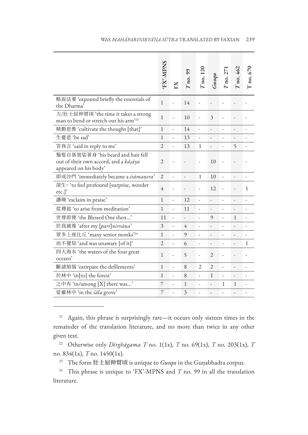|                                                                                                     | FX'-MPNS       | $_{\rm K}$     | $T_{100}$ , 99           | $T_{\rm 100}$ , 120 | <b>Guoqu</b>   | $T_{100}$ , 271 | <b>r</b> no. 462         | $\Gamma$ no. 670 |
|-----------------------------------------------------------------------------------------------------|----------------|----------------|--------------------------|---------------------|----------------|-----------------|--------------------------|------------------|
| 略說法要 'expound briefly the essentials of<br>the Dharma'                                              | $\mathbf{1}$   |                | 14                       |                     |                |                 |                          |                  |
| 力/壯士屈伸臂頃 'the time it takes a strong<br>man to bend or stretch out his arm <sup>223</sup>           | $\mathbf{1}$   |                | 10                       |                     | 3              |                 |                          |                  |
| 精勤思惟 'cultivate the thought [that]'                                                                 | $\mathbf{1}$   |                | 14                       |                     |                |                 | $\overline{a}$           |                  |
| 生憂悲 'be sad'                                                                                        | $\mathbf{1}$   | ÷,             | 13                       |                     |                | ÷,              | $\overline{a}$           | ÷,               |
| 答我言 'said in reply to me'                                                                           | $\overline{2}$ |                | 13                       | 1                   |                |                 | 5                        | L,               |
| 鬚髮自落袈裟著身 'his beard and hair fell<br>out of their own accord, and a kāsāya<br>appeared on his body' | $\overline{2}$ |                |                          |                     | 10             |                 |                          |                  |
| 即成沙門 'immediately became a śrāmaņera'                                                               | $\overline{2}$ |                | $\overline{a}$           | $\mathbf{1}$        | 10             |                 | $\overline{a}$           | L,               |
| 深生~ 'to feel profound [surprise, wonder<br>etc.]                                                    | 4              |                |                          |                     | 12             |                 |                          | $\mathbf{1}$     |
| 讚嘆 'exclaim in praise'                                                                              | $\mathbf{1}$   | $\overline{a}$ | 12                       | L                   |                | $\overline{a}$  | $\overline{a}$           |                  |
| 從禪起 'to arise from meditation'                                                                      | $\mathbf{1}$   | ÷,             | 11                       | L                   | $\overline{a}$ | ÷,              | $\overline{a}$           |                  |
| 世尊即便 'the Blessed One then'                                                                         | 11             | L,             | ,                        |                     | 9              | L               | 1                        |                  |
| 於我滅後 'after my [pari]nirvāņa'                                                                       | 3              |                | $\overline{4}$           | L,                  |                |                 | $\overline{a}$           |                  |
| 眾多上座比丘 'many senior monks'24                                                                        | $\mathbf{1}$   | ÷,             | 9                        |                     |                | ÷,              | $\overline{a}$           |                  |
| 而不覺知 'and was unaware [of it]'                                                                      | $\overline{2}$ | ÷              | 6                        | ,                   |                | ÷               | $\overline{a}$           | $\mathbf{1}$     |
| 四大海水 'the waters of the four great<br>oceans'                                                       | $\mathbf{1}$   |                | $\overline{\phantom{0}}$ | ٠                   | $\overline{2}$ |                 | $\overline{a}$           |                  |
| 斷諸煩惱 'extirpate the defilements'                                                                    | $\mathbf{1}$   | ÷,             | 8                        | $\overline{2}$      | $\overline{2}$ | ÷,              | $\overline{a}$           | $\overline{a}$   |
| 於林中 'in[to] the forest'                                                                             | 1              | $\overline{a}$ | 8                        |                     | 1              | ÷,              | J,                       |                  |
| 之中有 'in/among [X] there was'                                                                        | 7              |                | $\mathbf{1}$             |                     |                | $\mathbf{1}$    | $\mathbf{1}$             |                  |
| 娑羅林中 'in the sala grove'                                                                            | 7              |                | 3                        | ٠                   | ,              | ÷,              | $\overline{\phantom{a}}$ |                  |

<sup>21</sup> Again, this phrase is surprisingly rare—it occurs only sixteen times in the remainder of the translation literature, and no more than twice in any other given text.

<sup>22</sup> Otherwise only *Dīrghāgama T* no. 1(1x), *T* no. 69(1x), *T* no. 203(1x), *T* no. 834(1x), *T* no. 1450(1x).

<sup>23</sup> The form 壯士屈伸臂頃 is unique to *Guoqu* in the Guṇabhadra corpus.

<sup>24</sup> This phrase is unique to 'FX'-MPNS and *T* no. 99 in all the translation literature.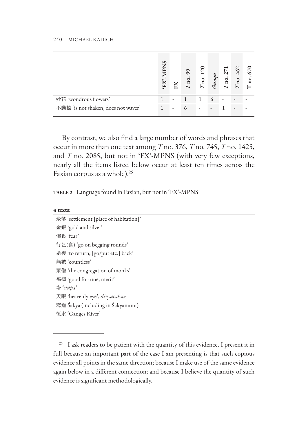|                                     | S | $_{\rm K}$ | 66<br>$\overline{\mathbf{n}}$ | N<br>$a_r$ | Guoq | no. | 462<br>no |  |
|-------------------------------------|---|------------|-------------------------------|------------|------|-----|-----------|--|
| 妙花 'wondrous flowers'               |   |            |                               |            |      |     |           |  |
| 不動搖 'is not shaken, does not waver' |   |            | $\epsilon$                    |            |      |     | ۰         |  |

By contrast, we also find a large number of words and phrases that occur in more than one text among *T* no. 376, *T* no. 745, *T* no. 1425, and *T* no. 2085, but not in 'FX'-MPNS (with very few exceptions, nearly all the items listed below occur at least ten times across the Faxian corpus as a whole).<sup>25</sup>

**TABLE 2** Language found in Faxian, but not in 'FX'-MPNS

| 聚落 'settlement [place of habitation]' |  |
|---------------------------------------|--|
| 金銀 'gold and silver'                  |  |
| 怖畏 'fear'                             |  |
| 行乞(食) 'go on begging rounds'          |  |
| 還復'to return, [go/put etc.] back'     |  |
| 無數 'countless'                        |  |
| 眾僧 'the congregation of monks'        |  |
| 福德 'good fortune, merit'              |  |
| 塔'stūpa'                              |  |
| 天眼 'heavenly eye', <i>divyacakṣus</i> |  |
| 釋迦 Śākya (including in Śākyamuni)     |  |
| 恒水 'Ganges River'                     |  |

<sup>&</sup>lt;sup>25</sup> I ask readers to be patient with the quantity of this evidence. I present it in full because an important part of the case I am presenting is that such copious evidence all points in the same direction; because I make use of the same evidence again below in a different connection; and because I believe the quantity of such evidence is significant methodologically.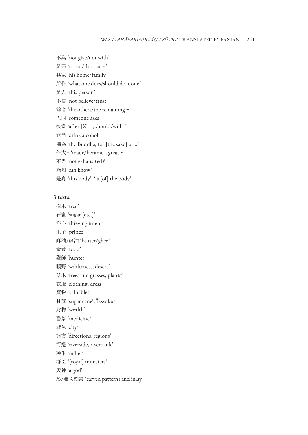不與 'not give/not with'

是惡 'is bad/this bad ~'

其家 'his home/family'

所作 'what one does/should do, done'

是人 'this person'

不信 'not believe/trust'

餘者 'the others/the remaining ~'

人問 'someone asks'

後當 'after [X...], should/will...'

飲酒 'drink alcohol'

佛為 'the Buddha, for [the sake] of...'

作大~ 'made/became a great ~'

不盡 'not exhaust(ed)'

能知 'can know'

是身 'this body', 'is [of] the body'

#### **3 texts:**

樹木 'tree' 石蜜 'sugar [etc.]' 盜心 'thieving intent' 王子 'prince' 酥油/蘇油 'butter/ghee' 飯食 'food' 獵師 'hunter' 曠野 'wilderness, desert' 草木 'trees and grasses, plants' 衣服 'clothing, dress' 寶物 'valuables' 甘蔗 'sugar cane', Īkṣvākus 財物 'wealth' 醫藥 'medicine' 城邑 'city' 諸方 'directions, regions' 河邊 'riverside, riverbank' 粳米 'millet' 群臣 '[royal] ministers' 天神 'a god' 彫/雕文刻鏤 'carved patterns and inlay'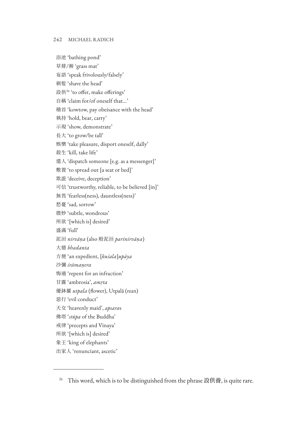浴池 'bathing pond' 草蓐/褥 'grass mat' 妄語 'speak frivolously/falsely' 剃髮 'shave the head' 設供26 'to offer, make offerings' 自稱 'claim for/of oneself that...' 稽首 'kowtow, pay obeisance with the head' 執持 'hold, bear, carry' 示現 'show, demonstrate' 長大 'to grow/be tall' 娛樂 'take pleasure, disport oneself, dally' 殺生 'kill, take life' 遣人 'dispatch someone [e.g. as a messenger]' 敷置 'to spread out [a seat or bed]' 欺誑 'deceive, deception' 可信 'trustworthy, reliable, to be believed [in]' 無畏 'fearless(ness), dauntless(ness)' 愁憂 'sad, sorrow' 微妙 'subtle, wondrous' 所欲 '[which is] desired' 盛滿 'full' 泥洹 *nirvāṇa* (also 般泥洹 *parinirvāṇa*) 大德 *bhadanta* 方便 'an expedient, [*kuśala*]*upāya* 沙彌 *śrāmaṇera* 悔過 'repent for an infraction' 甘露 'ambrosia', *amṛta* 優鉢羅 *utpala* (flower), Utpalā (nun) 惡行 'evil conduct' 天女 'heavenly maid', *apsara*s 佛塔 '*stūpa* of the Buddha' 戒律 'precepts and Vinaya' 所欲 '[which is] desired' 象王 'king of elephants' 出家人 'renunciant, ascetic'

<sup>&</sup>lt;sup>26</sup> This word, which is to be distinguished from the phrase 設供養, is quite rare.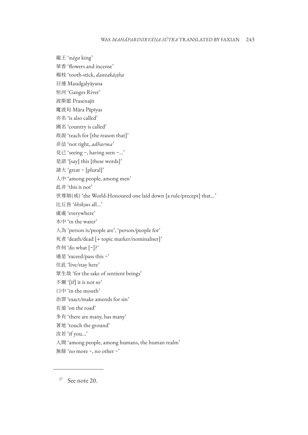龍王 '*nāga* king' 華香 'flowers and incense' 楊枝 'tooth-stick, *dantakāṣṭha* 目連 Maudgalyāyana 恒河 'Ganges River' 波斯匿 Prasenajit 魔波旬 Māra Pāpīyas 亦名 'is also called' 國名 'country is called' 故說 'teach for [the reason that]' 非法 'not right, *adharma*' 見已 'seeing ~, having seen ~...' 是語 '[say] this [these words]' 諸大 'great ~ [plural]' 人中 'among people, among men' 此非 'this is not' 世尊制(戒) 'the World-Honoured one laid down [a rule/precept] that...' 比丘皆 '*bhikṣu*s all...' 處處 'everywhere' 水中 'in the water' 人為 'person is/people are', 'person/people for' 死者 'death/dead [+ topic marker/nominaliser]' 作何 'do what [~]?' 過是 'exceed/pass this ~' 住此 'live/stay here' 眾生故 'for the sake of sentient beings' 不爾 '[if] it is not so' 口中 'in the mouth' 治罪 'exact/make amends for sin' 在道 'on the road' 多有 'there are many, has many' 著地 'touch the ground' 汝若 'if you...' 人間 'among people, among humans, the human realm' 無餘 'no more ~, no other ~'

<sup>27</sup> See note 20.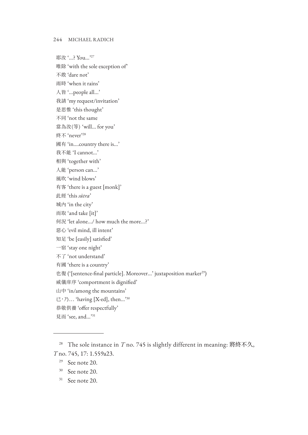耶汝'...? You...'<sup>27</sup> 唯除 'with the sole exception of' 不敢 'dare not' 雨時 'when it rains' 人皆 '...people all...' 我請 'my request/invitation' 是思惟 'this thought' 不同 'not the same 當為汝(等) 'will... for you' 終不 'never'28 國有 'in....country there is...' 我不能 'I cannot...' 相與 'together with' 人能 'person can...' 風吹 'wind blows' 有客 'there is a guest [monk]' 此經 'this *sūtra*' 城內 'in the city' 而取 'and take [it]' 何況 'let alone.../ how much the more...?' 惡心 'evil mind, ill intent' 知足 'be [easily] satisfied' 一宿 'stay one night' 不了 'not understand' 有國 'there is a country' 也復 ('[sentence-final particle]. Moreover...' juxtaposition marker<sup>29</sup>) 威儀庠序 'comportment is dignified' 山中 'in/among the mountains'  $\Xi$ , 乃... 'having [X-ed], then...'<sup>30</sup> 恭敬供養 'offer respectfully' 見而 'see, and...'31

<sup>28</sup> The sole instance in *T* no. 745 is slightly different in meaning: 將終不久, *T* no. 745, 17: 1.559a23.

 $29$  See note 20.

<sup>30</sup> See note 20.

<sup>31</sup> See note 20.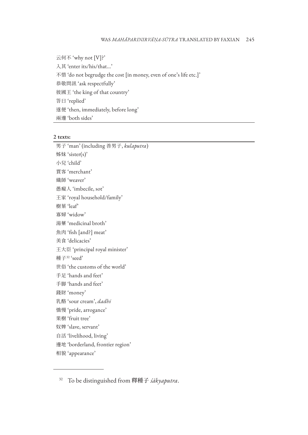云何不 'why not [V]?' 入其 'enter its/his/that...' 不惜 'do not begrudge the cost [in money, even of one's life etc.]' 恭敬問訊 'ask respectfully' 彼國王 'the king of that country' 答曰 'replied' 遂便 'then, immediately, before long' 兩邊 'both sides'

#### **2 texts:**

男子 'man' (including 善男子, *kulaputra*) 姊妹 'sister(s)' 小兒 'child' 賈客 'merchant' 織師 'weaver' 愚癡人 'imbecile, sot' 王家 'royal household/family' 樹葉 'leaf' 寡婦 'widow' 湯藥 'medicinal broth' 魚肉 'fish [and?] meat' 美食 'delicacies' 王大臣 'principal royal minister' 種子32 'seed' 世俗 'the customs of the world' 手足 'hands and feet' 手脚 'hands and feet' 錢財 'money' 乳酪 'sour cream', *dadhi* 憍慢 'pride, arrogance' 果樹 'fruit tree' 奴婢 'slave, servant' 自活 'livelihood, living' 邊地 'borderland, frontier region' 相貌 'appearance'

<sup>32</sup> To be distinguished from 釋種子 *śākyaputra*.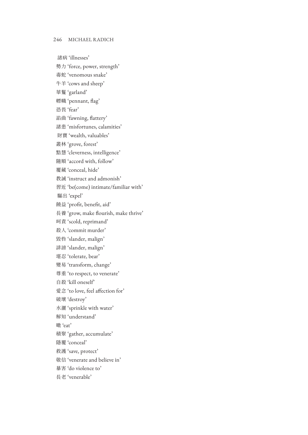諸病 'illnesses'

勢力 'force, power, strength'

毒蛇 'venomous snake'

牛羊 'cows and sheep'

華鬘 'garland'

幖幟 'pennant, flag'

恐畏 'fear'

諂曲 'fawning, flattery'

諸患 'misfortunes, calamities'

財寶 'wealth, valuables'

叢林 'grove, forest'

黠慧 'cleverness, intelligence'

隨順 'accord with, follow'

覆藏 'conceal, hide'

教誡 'instruct and admonish'

習近 'be(come) intimate/familiar with'

驅出 'expel'

饒益 'profit, benefit, aid'

長養 'grow, make flourish, make thrive'

呵責 'scold, reprimand'

殺人 'commit murder'

毀呰 'slander, malign'

誹謗 'slander, malign'

堪忍 'tolerate, bear'

變易 'transform, change'

尊重 'to respect, to venerate'

自殺 'kill oneself'

愛念 'to love, feel affection for'

破壞 'destroy'

水灑 'sprinkle with water'

解知 'understand'

噉 'eat'

積聚 'gather, accumulate'

隱覆 'conceal'

救護 'save, protect'

敬信 'venerate and believe in'

暴害 'do violence to'

長老 'venerable'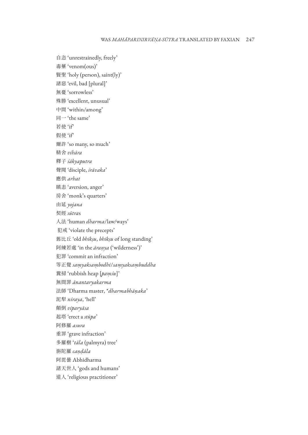自恣 'unrestrainedly, freely' 毒藥 'venom(ous)' 賢聖 'holy (person), saint(ly)' 諸惡 'evil, bad [plural]' 無憂 'sorrowless' 殊勝 'excellent, unusual' 中間 'within/among' 同一 'the same' 若使 'if' 假使 'if' 爾許 'so many, so much' 精舍 *vihāra* 釋子 *śākyaputra* 聲聞 'disciple, *śrāvaka*' 應供 *arhat* 瞋恚 'aversion, anger' 房舍 'monk's quarters' 由延 *yojana* 契經 *sūtra*s 人法 'human *dharma*/law/ways' 犯戒 'violate the precepts' 舊比丘 'old *bhikṣu*, *bhikṣu* of long standing' 阿練若處 'in the *āraṇya* ('wilderness')' 犯罪 'commit an infraction' 等正覺 *saṃyaksaṃbodhi*/*saṃyaksaṃbuddha* 糞掃 'rubbish heap [*paṃśu*]' 無間罪 *ānantaryakarma* 法師 'Dharma master, \**dharmabhāṇaka*' 泥犁 *niraya*, 'hell' 顛倒 *viparyāsa* 起塔 'erect a *stūpa*' 阿修羅 *asura* 重罪 'grave infraction' 多羅樹 '*tāla* (palmyra) tree' 旃陀羅 *caṇḍāla* 阿毘曇 Abhidharma 諸天世人 'gods and humans' 道人 'religious practitioner'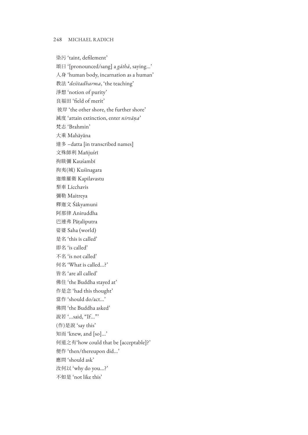染污 'taint, defilement' 頌曰 '[pronounced/sang] a *gāthā*, saying...' 人身 'human body, incarnation as a human' 教法 \**deśitadharma*, 'the teaching' 淨想 'notion of purity' 良福田 'field of merit' 彼岸 'the other shore, the further shore' 滅度 'attain extinction, enter *nirvāṇa*' 梵志 'Brahmin' 大乘 Mahāyāna 達多 –datta [in transcribed names] 文殊師利 Mañjuśrī 拘睒彌 Kauśambī 拘夷(城) Kuśinagara 迦維羅衛 Kapilavastu 梨車 Licchavis 彌勒 Maitreya 釋迦文 Śākyamuni 阿那律 Aniruddha 巴連弗 Pāṭaliputra 娑婆 Saha (world) 是名 'this is called' 即名 'is called' 不名 'is not called' 何名 'What is called...?' 皆名 'are all called' 佛住 'the Buddha stayed at' 作是念 'had this thought' 當作 'should do/act...' 佛問 'the Buddha asked' 說若'...said, "If..."' (作)是說 'say this' 知而 'knew, and [so]...' 何道之有'how could that be [acceptable]?' 便作 'then/thereupon did...' 應問 'should ask' 汝何以 'why do you...?' 不如是 'not like this'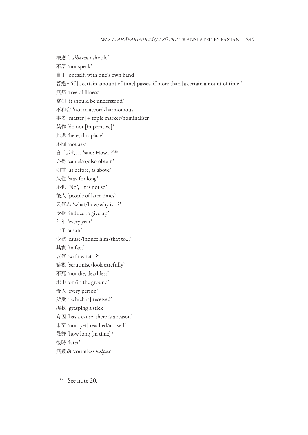法應 '...*dharma* should' 不語 'not speak' 自手 'oneself, with one's own hand' 若過~ 'if [a certain amount of time] passes, if more than [a certain amount of time]' 無病 'free of illness' 當如 'it should be understood' 不和合 'not in accord/harmonious' 事者 'matter [+ topic marker/nominaliser]' 莫作 'do not [imperative]' 此處 'here, this place' 不問 'not ask' 言:「云何... 'said: How...?'33 亦得 'can also/also obtain' 如前 'as before, as above' 久住 'stay for long' 不也 'No', 'It is not so' 後人 'people of later times' 云何為 'what/how/why is...?' 令捨 'induce to give up' 年年 'every year'  $-\mp$  'a son' 令彼 'cause/induce him/that to...' 其實 'in fact' 以何 'with what...?' 諦視 'scrutinise/look carefully' 不死 'not die, deathless' 地中 'on/in the ground' 母人 'every person' 所受 '[which is] received' 捉杖 'grasping a stick' 有因 'has a cause, there is a reason' 未至 'not [yet] reached/arrived' 幾許 'how long [in time]?' 後時 'later' 無數劫 'countless *kalpas*'

<sup>33</sup> See note 20.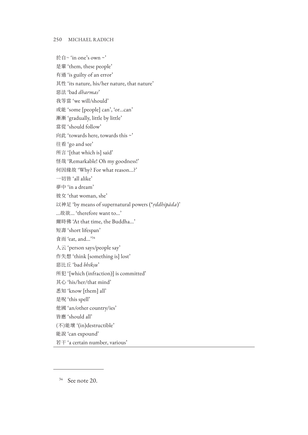於自~ 'in one's own ~'

是輩 'them, these people'

有過 'is guilty of an error'

其性 'its nature, his/her nature, that nature'

惡法 'bad *dharmas*'

我等當 'we will/should'

或能 'some [people] can', 'or...can'

漸漸 'gradually, little by little'

當從 'should follow'

向此 'towards here, towards this ~'

往看 'go and see'

所言 '[that which is] said'

怪哉 'Remarkable! Oh my goodness!'

何因緣故 'Why? For what reason...?'

一切皆 'all alike'

夢中 'in a dream'

彼女 'that woman, she'

以神足 'by means of supernatural powers (\**ṛddhipāda*)'

...故欲... 'therefore want to...'

爾時佛 'At that time, the Buddha...'

短壽 'short lifespan'

食而 'eat, and...'34

人云 'person says/people say'

作失想 'think [something is] lost'

惡比丘 'bad *bhikṣu*'

所犯 '[which (infraction)] is committed'

其心 'his/her/that mind'

悉知 'know [them] all'

是呪 'this spell'

他國 'an/other country/ies'

皆應 'should all'

(不)能壞 '(in)destructible'

能說 'can expound'

若干 'a certain number, various'

<sup>34</sup> See note 20.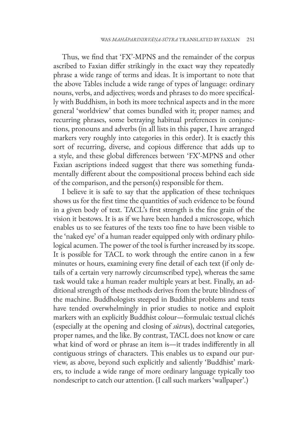Thus, we find that 'FX'-MPNS and the remainder of the corpus ascribed to Faxian differ strikingly in the exact way they repeatedly phrase a wide range of terms and ideas. It is important to note that the above Tables include a wide range of types of language: ordinary nouns, verbs, and adjectives; words and phrases to do more specifically with Buddhism, in both its more technical aspects and in the more general 'worldview' that comes bundled with it; proper names; and recurring phrases, some betraying habitual preferences in conjunctions, pronouns and adverbs (in all lists in this paper, I have arranged markers very roughly into categories in this order). It is exactly this sort of recurring, diverse, and copious difference that adds up to a style, and these global differences between 'FX'-MPNS and other Faxian ascriptions indeed suggest that there was something fundamentally different about the compositional process behind each side of the comparison, and the person(s) responsible for them.

I believe it is safe to say that the application of these techniques shows us for the first time the quantities of such evidence to be found in a given body of text. TACL's first strength is the fine grain of the vision it bestows. It is as if we have been handed a microscope, which enables us to see features of the texts too fine to have been visible to the 'naked eye' of a human reader equipped only with ordinary philological acumen. The power of the tool is further increased by its scope. It is possible for TACL to work through the entire canon in a few minutes or hours, examining every fine detail of each text (if only details of a certain very narrowly circumscribed type), whereas the same task would take a human reader multiple years at best. Finally, an additional strength of these methods derives from the brute blindness of the machine. Buddhologists steeped in Buddhist problems and texts have tended overwhelmingly in prior studies to notice and exploit markers with an explicitly Buddhist colour—formulaic textual clichés (especially at the opening and closing of *sūtra*s), doctrinal categories, proper names, and the like. By contrast, TACL does not know or care what kind of word or phrase an item is—it trades indifferently in all contiguous strings of characters. This enables us to expand our purview, as above, beyond such explicitly and saliently 'Buddhist' markers, to include a wide range of more ordinary language typically too nondescript to catch our attention. (I call such markers 'wallpaper'.)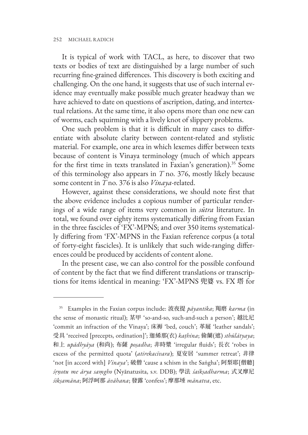It is typical of work with TACL, as here, to discover that two texts or bodies of text are distinguished by a large number of such recurring fine-grained differences. This discovery is both exciting and challenging. On the one hand, it suggests that use of such internal evidence may eventually make possible much greater headway than we have achieved to date on questions of ascription, dating, and intertextual relations. At the same time, it also opens more than one new can of worms, each squirming with a lively knot of slippery problems.

One such problem is that it is difficult in many cases to differentiate with absolute clarity between content-related and stylistic material. For example, one area in which lexemes differ between texts because of content is Vinaya terminology (much of which appears for the first time in texts translated in Faxian's generation).<sup>35</sup> Some of this terminology also appears in *T* no. 376, mostly likely because some content in *T* no. 376 is also *Vinaya*-related.

However, against these considerations, we should note first that the above evidence includes a copious number of particular renderings of a wide range of items very common in *sūtra* literature. In total, we found over eighty items systematically differing from Faxian in the three fascicles of 'FX'-MPNS; and over 350 items systematically differing from 'FX'-MPNS in the Faxian reference corpus (a total of forty-eight fascicles). It is unlikely that such wide-ranging differences could be produced by accidents of content alone.

In the present case, we can also control for the possible confound of content by the fact that we find different translations or transcriptions for items identical in meaning: 'FX'-MPNS 兜婆 vs. FX 塔 for

<sup>35</sup> Examples in the Faxian corpus include: 波夜提 *pāyantika*; 羯磨 *karma* (in the sense of monastic ritual); 某甲 'so-and-so, such-and-such a person'; 越比尼 'commit an infraction of the Vinaya'; 床褥 'bed, couch'; 革屣 'leather sandals'; 受具 'received [precepts, ordination]'; 迦絺那(衣) *kaṭhina*; 偷蘭(遮) *sthūlātyaya*; 和上 *upādhyāya* (和尚); 布薩 *poṣadha*; 非時漿 'irregular fluids'; 長衣 'robes in excess of the permitted quota' (*atirekacīvara*); 夏安居 'summer retreat'; 非律 'not [in accord with] *Vinaya*'; 破僧 'cause a schism in the Saṅgha'; 阿梨耶[僧聽] *śṛṇotu me ārya saṃgho* (Nyānatusita, s.v. DDB); 學法 *śaikṣadharma*; 式叉摩尼 *śikṣamāna*; 阿浮呵那 *āvāhana*; 發露 'confess'; 摩那埵 *mānatva*, etc.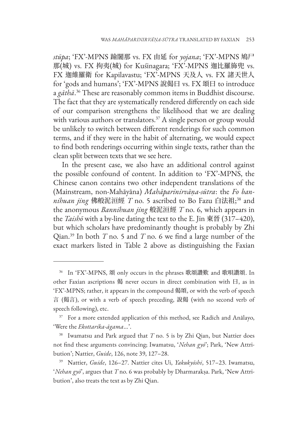*stūpa*; 'FX'-MPNS 踰闍那 vs. FX 由延 for *yojana*; 'FX'-MPNS 鳩尸 那(城) vs. FX 拘夷(城) for Kuśinagara; 'FX'-MPNS 迦比羅斾兜 vs. FX 迦維羅衛 for Kapilavastu; 'FX'-MPNS 天及人 vs. FX 諸天世人 for 'gods and humans'; 'FX'-MPNS 說偈曰 vs. FX 頌曰 to introduce a *gāthā*. 36 These are reasonably common items in Buddhist discourse. The fact that they are systematically rendered differently on each side of our comparison strengthens the likelihood that we are dealing with various authors or translators.<sup>37</sup> A single person or group would be unlikely to switch between different renderings for such common terms, and if they were in the habit of alternating, we would expect to find both renderings occurring within single texts, rather than the clean split between texts that we see here.

In the present case, we also have an additional control against the possible confound of content. In addition to 'FX'-MPNS, the Chinese canon contains two other independent translations of the (Mainstream, non-Mahāyāna) *Mahāparinirvāṇa-sūtra*: the *Fo bannihuan jing* 佛般泥洹經 *T* no. 5 ascribed to Bo Fazu 白法祖; 38 and the anonymous *Bannihuan jing* 般泥洹經 *T* no. 6, which appears in the *Taishō* with a by-line dating the text to the E. Jin 東晉 (317–420), but which scholars have predominantly thought is probably by Zhi Qian.39 In both *T* no. 5 and *T* no. 6 we find a large number of the exact markers listed in Table 2 above as distinguishing the Faxian

<sup>36</sup> In 'FX'-MPNS, 頌 only occurs in the phrases 歌頌讚歎 and 歌唄讚頌. In other Faxian ascriptions 偈 never occurs in direct combination with 曰, as in 'FX'-MPNS; rather, it appears in the compound 偈頌, or with the verb of speech 言 (偈言), or with a verb of speech preceding, 說偈 (with no second verb of speech following), etc.

<sup>&</sup>lt;sup>37</sup> For a more extended application of this method, see Radich and Anālayo, 'Were the *Ekottarika-āgama*...'.

<sup>&</sup>lt;sup>38</sup> Iwamatsu and Park argued that *T* no. 5 is by Zhi Qian, but Nattier does not find these arguments convincing; Iwamatsu, '*Nehan gyō*'; Park, 'New Attribution'; Nattier, *Guide*, 126, note 39, 127–28.

<sup>39</sup> Nattier, *Guide*, 126–27. Nattier cites Ui, *Yakukyōshi*, 517–23. Iwamatsu, '*Nehan gyō*', argues that *T* no. 6 was probably by Dharmarakṣa. Park, 'New Attribution', also treats the text as by Zhi Qian.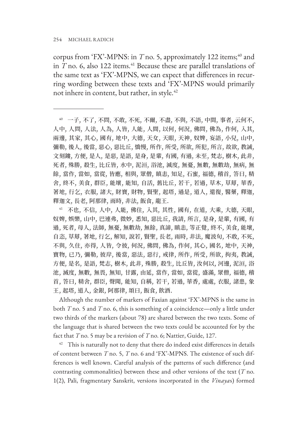corpus from 'FX'-MPNS: in  $T$  no. 5, approximately 122 items;<sup>40</sup> and in *T* no. 6, also 122 items.<sup>41</sup> Because these are parallel translations of the same text as 'FX'-MPNS, we can expect that differences in recurring wording between these texts and 'FX'-MPNS would primarily not inhere in content, but rather, in style.<sup>42</sup>

<sup>40</sup> 一子, 不了, 不問, 不敢, 不死, 不爾, 不盡, 不與, 不語, 中間, 事者, 云何不, 人中, 人問, 人法, 人為, 人皆, 人能, 人間, 以何, 何況, 佛問, 佛為, 作何, 入其, 兩邊, 其家, 其心, 國有, 地中, 大德, 天女, 天眼, 天神, 奴婢, 妄語, 小兒, 山中, 彌勒, 後人, 後當, 惡心, 惡比丘, 憍慢, 所作, 所受, 所欲, 所犯, 所言, 故欲, 教誡, 文刻鏤, 方便, 是人, 是惡, 是語, 是身, 是輩, 有國, 有過, 未至, 梵志, 樹木, 此非, 死者, 殊勝, 殺生, 比丘皆, 水中, 泥洹, 浴池, 滅度, 無憂, 無數, 無數劫, 無病, 無 餘, 當作, 當如, 當從, 皆應, 相與, 眾僧, 瞋恚, 知足, 石蜜, 福德, 稽首, 答曰, 精 舍, 終不, 美食, 群臣, 能壞, 能知, 自活, 舊比丘, 若干, 若過, 草木, 草蓐, 華香, 著地, 行乞, 衣服, 諸大, 財寶, 財物, 賢聖, 起塔, 過是, 道人, 還復, 醫藥, 釋迦, 釋迦文, 長老, 阿那律, 雨時, 非法, 飯食, 龍王.

<sup>41</sup> 不也, 不信, 人中, 人能, 佛住, 入其, 其性, 國有, 在道, 大乘, 大德, 天眼, 奴婢, 娛樂, 山中, 巴連弗, 微妙, 悉知, 惡比丘, 我請, 所言, 是身, 是輩, 有國, 有 過, 死者, 母人, 法師, 無憂, 無數劫, 無餘, 真諦, 瞋恚, 等正覺, 終不, 美食, 能壞, 自恣, 草蓐, 著地, 行乞, 解知, 說若, 賢聖, 長老, 雨時, 非法, 魔波旬, 不敢, 不死, 不與, 久住, 亦得, 人皆, 令彼, 何況, 佛問, 佛為, 作何, 其心, 國名, 地中, 天神, 寶物, 已乃, 彌勒, 彼岸, 後當, 惡法, 惡行, 戒律, 所作, 所受, 所欲, 拘夷, 教誡, 方便, 是名, 是語, 梵志, 樹木, 此非, 殊勝, 殺生, 比丘皆, 汝何以, 河邊, 泥洹, 浴 池, 滅度, 無數, 無畏, 無知, 甘露, 由延, 當作, 當如, 當從, 盛滿, 眾僧, 福德, 稽 首, 答曰, 精舍, 群臣, 聲聞, 能知, 自稱, 若干, 若過, 華香, 處處, 衣服, 諸患, 象 王, 起塔, 道人, 金銀, 阿那律, 頌曰, 飯食, 飲酒.

Although the number of markers of Faxian against 'FX'-MPNS is the same in both *T* no. 5 and *T* no. 6, this is something of a coincidence—only a little under two thirds of the markers (about 78) are shared between the two texts. Some of the language that is shared between the two texts could be accounted for by the fact that *T* no. 5 may be a revision of *T* no. 6; Nattier, Guide, 127.

 $42$  This is naturally not to deny that there do indeed exist differences in details of content between *T* no. 5, *T* no. 6 and 'FX'-MPNS. The existence of such differences is well known. Careful analysis of the patterns of such difference (and contrasting commonalities) between these and other versions of the text (*T* no. 1(2), Pali, fragmentary Sanskrit, versions incorporated in the *Vinaya*s) formed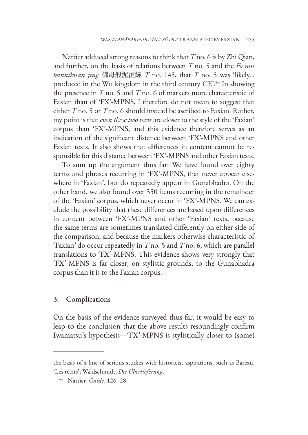Nattier adduced strong reasons to think that *T* no. 6 is by Zhi Qian, and further, on the basis of relations between *T* no. 5 and the *Fo mu bannihuan jing* 佛母般泥洹經 *T* no. 145, that *T* no. 5 was 'likely... produced in the Wu kingdom in the third century CE'.43 In showing the presence in *T* no. 5 and *T* no. 6 of markers more characteristic of Faxian than of 'FX'-MPNS, I therefore do not mean to suggest that either *T* no. 5 or *T* no. 6 should instead be ascribed to Faxian. Rather, my point is that *even these two texts* are closer to the style of the 'Faxian' corpus than 'FX'-MPNS, and this evidence therefore serves as an indication of the significant distance between 'FX'-MPNS and other Faxian texts. It also shows that differences in content cannot be responsible for this distance between 'FX'-MPNS and other Faxian texts.

To sum up the argument thus far: We have found over eighty terms and phrases recurring in 'FX'-MPNS, that never appear elsewhere in 'Faxian', but do repeatedly appear in Guṇabhadra. On the other hand, we also found over 350 items recurring in the remainder of the 'Faxian' corpus, which never occur in 'FX'-MPNS. We can exclude the possibility that these differences are based upon differences in content between 'FX'-MPNS and other 'Faxian' texts, because the same terms are sometimes translated differently on either side of the comparison, and because the markers otherwise characteristic of 'Faxian' do occur repeatedly in *T* no. 5 and *T* no. 6, which are parallel translations to 'FX'-MPNS. This evidence shows very strongly that 'FX'-MPNS is far closer, on stylistic grounds, to the Guṇabhadra corpus than it is to the Faxian corpus.

## 3. Complications

On the basis of the evidence surveyed thus far, it would be easy to leap to the conclusion that the above results resoundingly confirm Iwamatsu's hypothesis—'FX'-MPNS is stylistically closer to (some)

the basis of a line of serious studies with historicist aspirations, such as Bareau, 'Les récits'; Waldschmidt, *Die Überlieferung*.

<sup>43</sup> Nattier, *Guide*, 126–28.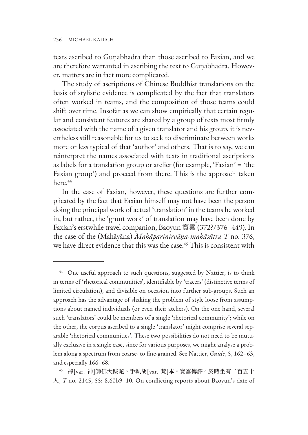texts ascribed to Guṇabhadra than those ascribed to Faxian, and we are therefore warranted in ascribing the text to Guṇabhadra. However, matters are in fact more complicated.

The study of ascriptions of Chinese Buddhist translations on the basis of stylistic evidence is complicated by the fact that translators often worked in teams, and the composition of those teams could shift over time. Insofar as we can show empirically that certain regular and consistent features are shared by a group of texts most firmly associated with the name of a given translator and his group, it is nevertheless still reasonable for us to seek to discriminate between works more or less typical of that 'author' and others. That is to say, we can reinterpret the names associated with texts in traditional ascriptions as labels for a translation group or atelier (for example, 'Faxian' = 'the Faxian group') and proceed from there. This is the approach taken here.<sup>44</sup>

In the case of Faxian, however, these questions are further complicated by the fact that Faxian himself may not have been the person doing the principal work of actual 'translation' in the teams he worked in, but rather, the 'grunt work' of translation may have been done by Faxian's erstwhile travel companion, Baoyun 寶雲 (372?/376–449). In the case of the (Mahāyāna) *Mahāparinirvāṇa-mahāsūtra T* no. 376, we have direct evidence that this was the case.<sup>45</sup> This is consistent with

<sup>&</sup>lt;sup>44</sup> One useful approach to such questions, suggested by Nattier, is to think in terms of 'rhetorical communities', identifiable by 'tracers' (distinctive terms of limited circulation), and divisible on occasion into further sub-groups. Such an approach has the advantage of shaking the problem of style loose from assumptions about named individuals (or even their ateliers). On the one hand, several such 'translators' could be members of a single 'rhetorical community'; while on the other, the corpus ascribed to a single 'translator' might comprise several separable 'rhetorical communities'. These two possibilities do not need to be mutually exclusive in a single case, since for various purposes, we might analyse a problem along a spectrum from coarse- to fine-grained. See Nattier, *Guide*, 5, 162–63, and especially 166–68.

<sup>45</sup> 禪[var. 神]師佛大跋陀。手執胡[var. 梵]本。寶雲傳譯。於時坐有二百五十 人, *T* no. 2145, 55: 8.60b9–10. On conflicting reports about Baoyun's date of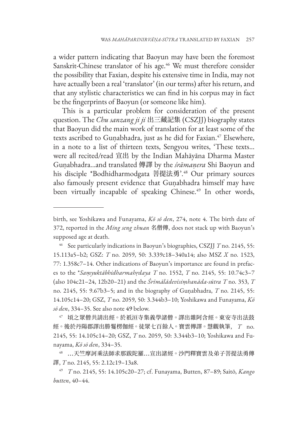a wider pattern indicating that Baoyun may have been the foremost Sanskrit-Chinese translator of his age.<sup>46</sup> We must therefore consider the possibility that Faxian, despite his extensive time in India, may not have actually been a real 'translator' (in our terms) after his return, and that any stylistic characteristics we can find in his corpus may in fact be the fingerprints of Baoyun (or someone like him).

This is a particular problem for consideration of the present question. The *Chu sanzang ji ji* 出三藏記集 (CSZJJ) biography states that Baoyun did the main work of translation for at least some of the texts ascribed to Guṇabhadra, just as he did for Faxian.<sup>47</sup> Elsewhere, in a note to a list of thirteen texts, Sengyou writes, 'These texts... were all recited/read 宣出 by the Indian Mahāyāna Dharma Master Guṇabhadra...and translated 傳譯 by the *śrāmaṇera* Shi Baoyun and his disciple \*Bodhidharmodgata 菩提法勇'.<sup>48</sup> Our primary sources also famously present evidence that Guṇabhadra himself may have been virtually incapable of speaking Chinese.<sup>49</sup> In other words,

birth, see Yoshikawa and Funayama, *Kō sō den*, 274, note 4. The birth date of 372, reported in the *Ming seng zhuan* 名僧傳, does not stack up with Baoyun's supposed age at death.

<sup>46</sup> See particularly indications in Baoyun's biographies, CSZJJ *T* no. 2145, 55: 15.113a5–b2; GSZ: *T* no. 2059, 50: 3.339c18–340a14; also MSZ *X* no. 1523, 77: 1.358c7–14. Other indications of Baoyun's importance are found in prefaces to the \**Saṃyuktābhidharmahṛdaya T* no. 1552, *T* no. 2145, 55: 10.74c3–7 (also 104c21–24, 12b20–21) and the *Śrīmālādevīsiṃhanāda-sūtra T* no. 353, *T* no. 2145, 55: 9.67b3–5; and in the biography of Guṇabhadra, *T* no. 2145, 55: 14.105c14–20; GSZ, *T* no. 2059, 50: 3.344b3–10; Yoshikawa and Funayama, *Kō sō den*, 334–35. See also note 49 below.

<sup>47</sup> 頃之眾僧共請出經。於祇洹寺集義學諸僧。譯出雜阿含經。東安寺出法鼓 經。後於丹陽郡譯出勝鬘楞伽經。徒眾七百餘人。寶雲傳譯。慧觀執筆, *T* no. 2145, 55: 14.105c14–20; GSZ, *T* no. 2059, 50: 3.344b3–10; Yoshikawa and Funayama, *Kō sō den*, 334–35.

<sup>48</sup> ...天竺摩訶乘法師求那跋陀羅...宣出諸經。沙門釋寶雲及弟子菩提法勇傳 譯, *T* no. 2145, 55: 2.12c19–13a8.

<sup>49</sup> *T* no. 2145, 55: 14.105c20–27; cf. Funayama, Butten, 87–89; Saitō, *Kango butten*, 40–44.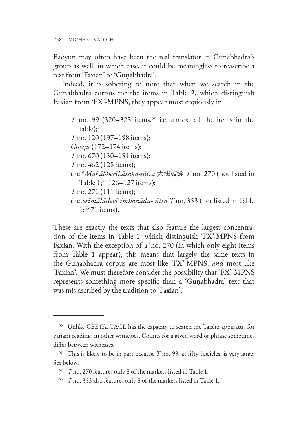Baoyun may often have been the real translator in Guṇabhadra's group as well, in which case, it could be meaningless to reascribe a text from 'Faxian' to 'Guṇabhadra'.

Indeed, it is sobering to note that when we search in the Guṇabhadra corpus for the items in Table 2, which distinguish Faxian from 'FX'-MPNS, they appear most copiously in:

*T* no. 99 (320–323 items,<sup>50</sup> i.e. almost all the items in the  $table);$ <sup>51</sup> *T* no. 120 (197–198 items); *Guoqu* (172–174 items); *T* no. 670 (150–151 items); *T* no. 462 (128 items); the \**Mahābherīhāraka-sūtra* 大法鼓經 *T* no. 270 (not listed in Table 1;<sup>52</sup> 126-127 items); *T* no. 271 (111 items); the *Śrīmālādevīsiṃhanāda-sūtra T* no. 353 (not listed in Table  $1;^{53}$  71 items).

These are exactly the texts that also feature the largest concentration of the items in Table 1, which distinguish 'FX'-MPNS from Faxian. With the exception of *T* no. 270 (in which only eight items from Table 1 appear), this means that largely the same texts in the Guṇabhadra corpus are most like 'FX'-MPNS, *and* most like 'Faxian'. We must therefore consider the possibility that 'FX'-MPNS represents something more specific than a 'Guṇabhadra' text that was mis-ascribed by the tradition to 'Faxian'.

<sup>50</sup> Unlike CBETA, TACL has the capacity to search the Taishō apparatus for variant readings in other witnesses. Counts for a given word or phrase sometimes differ between witnesses.

 $51$  This is likely to be in part because  $T$  no. 99, at fifty fascicles, is very large. See below.

<sup>52</sup> *T* no. 270 features only 8 of the markers listed in Table 1.

<sup>53</sup> *T* no. 353 also features only 8 of the markers listed in Table 1.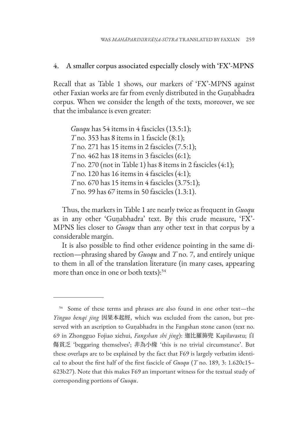### 4. A smaller corpus associated especially closely with 'FX'-MPNS

Recall that as Table 1 shows, our markers of 'FX'-MPNS against other Faxian works are far from evenly distributed in the Guṇabhadra corpus. When we consider the length of the texts, moreover, we see that the imbalance is even greater:

*Guoqu* has 54 items in 4 fascicles (13.5:1); *T* no. 353 has 8 items in 1 fascicle (8:1); *T* no. 271 has 15 items in 2 fascicles (7.5:1); *T* no. 462 has 18 items in 3 fascicles (6:1); *T* no. 270 (not in Table 1) has 8 items in 2 fascicles (4:1); *T* no. 120 has 16 items in 4 fascicles (4:1); *T* no. 670 has 15 items in 4 fascicles (3.75:1); *T* no. 99 has 67 items in 50 fascicles (1.3:1).

Thus, the markers in Table 1 are nearly twice as frequent in *Guoqu* as in any other 'Guṇabhadra' text. By this crude measure, 'FX'- MPNS lies closer to *Guoqu* than any other text in that corpus by a considerable margin.

It is also possible to find other evidence pointing in the same direction—phrasing shared by *Guoqu* and *T* no. 7, and entirely unique to them in all of the translation literature (in many cases, appearing more than once in one or both texts):<sup>54</sup>

<sup>&</sup>lt;sup>54</sup> Some of these terms and phrases are also found in one other text-the *Yinguo benqi jing* 因果本起經, which was excluded from the canon, but preserved with an ascription to Guṇabhadra in the Fangshan stone canon (text no. 69 in Zhongguo Fojiao xiehui, *Fangshan shi jing*): 迦比羅斾兜 Kapilavastu; 自 傷貧乏 'beggaring themselves'; 非為小緣 'this is no trivial circumstance'. But these overlaps are to be explained by the fact that F69 is largely verbatim identical to about the first half of the first fascicle of *Guoqu* (*T* no. 189, 3: 1.620c15– 623b27). Note that this makes F69 an important witness for the textual study of corresponding portions of *Guoqu*.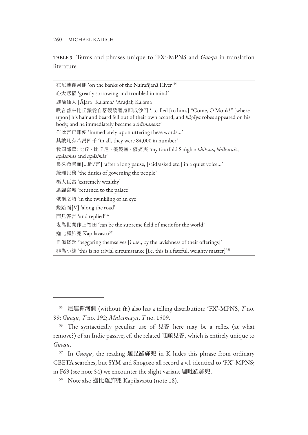**TABLE 3** Terms and phrases unique to 'FX'-MPNS and *Guoqu* in translation literature

| 在尼連禪河側 'on the banks of the Nairañjanā River'55                                                                                                                                                                  |
|------------------------------------------------------------------------------------------------------------------------------------------------------------------------------------------------------------------|
| 心大悲惱 'greatly sorrowing and troubled in mind'                                                                                                                                                                    |
| 迦蘭仙人 [Āḷāra] Kālāma/ *Arāḍaḥ Kālāma                                                                                                                                                                              |
| 喚言善來比丘鬚髮自落袈裟著身即成沙門 '…called [to him,] "Come, O Monk!" [where-<br>upon] his hair and beard fell out of their own accord, and kāṣāya robes appeared on his<br>body, and he immediately became a <i>śrāmaṇera</i> ' |
| 作此言已即便 'immediately upon uttering these words'                                                                                                                                                                   |
| 其數凡有八萬四千 'in all, they were 84,000 in number'                                                                                                                                                                    |
| 我四部眾:比丘、比丘尼、優婆塞、優婆夷'my fourfold Sangha: bhiksus, bhiksunīs,<br>upāsakas and upāsikās'                                                                                                                            |
| 良久微聲而[問/言] 'after a long pause, [said/asked etc.] in a quiet voice'                                                                                                                                              |
| 統理民務 'the duties of governing the people'                                                                                                                                                                        |
| 極大巨富 'extremely wealthy'                                                                                                                                                                                         |
| 還歸宮城 'returned to the palace'                                                                                                                                                                                    |
| 俄爾之頃 'in the twinkling of an eye'                                                                                                                                                                                |
| 緣路而[V] 'along the road'                                                                                                                                                                                          |
| 而見答言 'and replied' <sup>56</sup>                                                                                                                                                                                 |
| 堪為世間作上福田 'can be the supreme field of merit for the world'                                                                                                                                                       |
| 迦比羅斾兜 Kapilavastu <sup>57</sup>                                                                                                                                                                                  |
| 自傷貧乏 'beggaring themselves [? viz., by the lavishness of their offerings]'                                                                                                                                       |
| 非為小緣 'this is no trivial circumstance [i.e. this is a fateful, weighty matter]' <sup>58</sup>                                                                                                                    |

<sup>55</sup> 尼連禪河側 (without 在) also has a telling distribution: 'FX'-MPNS, *T* no. 99; *Guoqu*, *T* no. 192; *Mahāmāyā*, *T* no. 1509.

<sup>56</sup> The syntactically peculiar use of 見答 here may be a reflex (at what remove?) of an Indic passive; cf. the related 唯願見答, which is entirely unique to *Guoqu*.

<sup>57</sup> In *Guoqu*, the reading 迦毘羅斾兜 in K hides this phrase from ordinary CBETA searches, but SYM and Shōgozō all record a v.l. identical to 'FX'-MPNS; in F69 (see note 54) we encounter the slight variant 迦毗羅斾兜.

<sup>58</sup> Note also 迦比羅斾兜 Kapilavastu (note 18).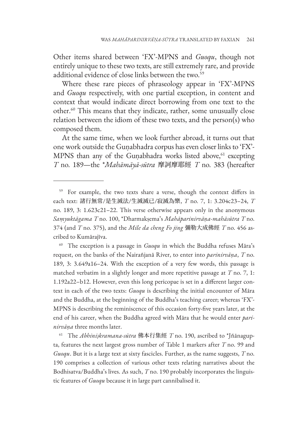Other items shared between 'FX'-MPNS and *Guoqu*, though not entirely unique to these two texts, are still extremely rare, and provide additional evidence of close links between the two.<sup>59</sup>

Where these rare pieces of phraseology appear in 'FX'-MPNS and *Guoqu* respectively, with one partial exception, in content and context that would indicate direct borrowing from one text to the other.60 This means that they indicate, rather, some unusually close relation between the idiom of these two texts, and the person(s) who composed them.

At the same time, when we look further abroad, it turns out that one work outside the Guṇabhadra corpus has even closer links to 'FX'- MPNS than any of the Gunabhadra works listed above,<sup>61</sup> excepting *T* no. 189—the \**Mahāmāyā-sūtra* 摩訶摩耶經 *T* no. 383 (hereafter

<sup>60</sup> The exception is a passage in *Guoqu* in which the Buddha refuses Māra's request, on the banks of the Nairañjanā River, to enter into *parinirvāṇa*, *T* no. 189, 3: 3.649a16–24. With the exception of a very few words, this passage is matched verbatim in a slightly longer and more repetitive passage at *T* no. 7, 1: 1.192a22–b12. However, even this long pericopae is set in a different larger context in each of the two texts: *Guoqu* is describing the initial encounter of Māra and the Buddha, at the beginning of the Buddha's teaching career; whereas 'FX'- MPNS is describing the reminiscence of this occasion forty-five years later, at the end of his career, when the Buddha agreed with Māra that he would enter *parinirvāṇa* three months later.

<sup>61</sup> The *Abhiniṣkramana-sūtra* 佛本行集經 *T* no. 190, ascribed to \*Jñānagupta, features the next largest gross number of Table 1 markers after *T* no. 99 and *Guoqu*. But it is a large text at sixty fascicles. Further, as the name suggests, *T* no. 190 comprises a collection of various other texts relating narratives about the Bodhisatva/Buddha's lives. As such, *T* no. 190 probably incorporates the linguistic features of *Guoqu* because it in large part cannibalised it.

<sup>&</sup>lt;sup>59</sup> For example, the two texts share a verse, though the context differs in each text: 諸行無常/是生滅法/生滅滅已/寂滅為樂, *T* no. 7, 1: 3.204c23–24, *T* no. 189, 3: 1.623c21–22. This verse otherwise appears only in the anonymous *Saṃyuktāgama T* no. 100, \*Dharmakṣema's *Mahāparinirvāṇa-mahāsūtra T* no. 374 (and *T* no. 375), and the *Mile da cheng Fo jing* 彌勒大成佛經 *T* no. 456 ascribed to Kumārajīva.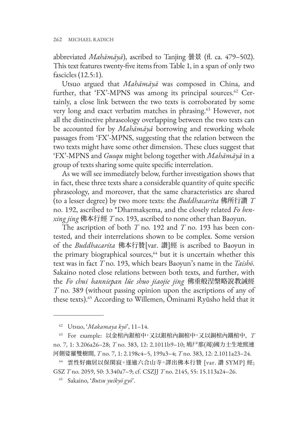abbreviated *Mahāmāyā*), ascribed to Tanjing 曇景 (fl. ca. 479–502). This text features twenty-five items from Table 1, in a span of only two fascicles (12.5:1).

Utsuo argued that *Mahāmāyā* was composed in China, and further, that 'FX'-MPNS was among its principal sources.<sup>62</sup> Certainly, a close link between the two texts is corroborated by some very long and exact verbatim matches in phrasing.<sup>63</sup> However, not all the distinctive phraseology overlapping between the two texts can be accounted for by *Mahāmāyā* borrowing and reworking whole passages from 'FX'-MPNS, suggesting that the relation between the two texts might have some other dimension. These clues suggest that 'FX'-MPNS and *Guoqu* might belong together with *Mahāmāyā* in a group of texts sharing some quite specific interrelation.

As we will see immediately below, further investigation shows that in fact, these three texts share a considerable quantity of quite specific phraseology, and moreover, that the same characteristics are shared (to a lesser degree) by two more texts: the *Buddhacarita* 佛所行讚 *T* no. 192, ascribed to \*Dharmakṣema, and the closely related *Fo benxing jing* 佛本行經 *T* no. 193, ascribed to none other than Baoyun.

The ascription of both *T* no. 192 and *T* no. 193 has been contested, and their interrelations shown to be complex. Some version of the *Buddhacarita* 佛本行贊[var. 讚]經 is ascribed to Baoyun in the primary biographical sources,<sup>64</sup> but it is uncertain whether this text was in fact *T* no. 193, which bears Baoyun's name in the *Taishō*. Sakaino noted close relations between both texts, and further, with the *Fo chui banniepan lüe shuo jiaojie jing* 佛垂般涅槃略說教誡經 *T* no. 389 (without passing opinion upon the ascriptions of any of these texts).65 According to Willemen, Ōminami Ryūsho held that it

<sup>62</sup> Utsuo, '*Makamaya kyō*', 11–14.

<sup>63</sup> For example: 以金棺內銀棺中,又以銀棺內銅棺中,又以銅棺內鐵棺中, *T*  no. 7, 1: 3.206a26–28; *T* no. 383, 12: 2.1011b9–10; 鳩尸那(竭)國力士生地熙連 河側娑羅雙樹間, *T* no. 7, 1: 2.198c4–5, 199a3–4; *T* no. 383, 12: 2.1011a23–24.

<sup>64</sup> 雲性好幽居以保閑寂。遂適六合山寺。譯出佛本行贊 [var. 讚 SYMP] 經; GSZ *T* no. 2059, 50: 3.340a7–9; cf. CSZJJ *T* no. 2145, 55: 15.113a24–26.

<sup>65</sup> Sakaino, '*Butsu yuikyō gyō*'.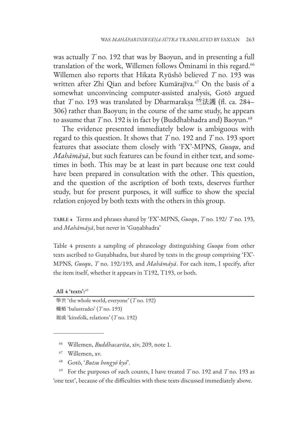was actually *T* no. 192 that was by Baoyun, and in presenting a full translation of the work, Willemen follows Ominami in this regard.<sup>66</sup> Willemen also reports that Hikata Ryūshō believed *T* no. 193 was written after Zhi Qian and before Kumārajīva.<sup>67</sup> On the basis of a somewhat unconvincing computer-assisted analysis, Gotō argued that *T* no. 193 was translated by Dharmarakṣa 竺法護 (fl. ca. 284– 306) rather than Baoyun; in the course of the same study, he appears to assume that *T* no. 192 is in fact by (Buddhabhadra and) Baoyun.<sup>68</sup>

The evidence presented immediately below is ambiguous with regard to this question. It shows that *T* no. 192 and *T* no. 193 sport features that associate them closely with 'FX'-MPNS, *Guoqu*, and *Mahāmāyā*, but such features can be found in either text, and sometimes in both. This may be at least in part because one text could have been prepared in consultation with the other. This question, and the question of the ascription of both texts, deserves further study, but for present purposes, it will suffice to show the special relation enjoyed by both texts with the others in this group.

**TABLE 4** Terms and phrases shared by 'FX'-MPNS, *Guoqu*, *T* no. 192/ *T* no. 193, and *Mahāmāyā*, but never in 'Guṇabhadra'

Table 4 presents a sampling of phraseology distinguishing *Guoqu* from other texts ascribed to Guṇabhadra, but shared by texts in the group comprising 'FX'- MPNS, *Guoqu*, *T* no. 192/193, and *Mahāmāyā*. For each item, I specify, after the item itself, whether it appears in T192, T193, or both.

**All 4 'texts':**<sup>69</sup>

舉世 'the whole world, everyone' (*T* no. 192) 欄楯 'balustrades' (*T* no. 193) 親戚 'kinsfolk, relations' (*T* no. 192)

- <sup>66</sup> Willemen, *Buddhacarita*, xiv, 209, note 1.
- <sup>67</sup> Willemen, xv.
- <sup>68</sup> Gotō, '*Butsu hongyō kyō*'.

<sup>69</sup> For the purposes of such counts, I have treated *T* no. 192 and *T* no. 193 as 'one text', because of the difficulties with these texts discussed immediately above.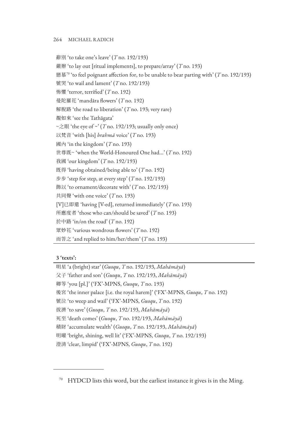辭別 'to take one's leave' (*T* no. 192/193) 嚴辦 'to lay out [ritual implements], to prepare/array' (*T* no. 193) 戀慕70 'to feel poignant affection for, to be unable to bear parting with' (*T* no. 192/193) 號哭 'to wail and lament' (*T* no. 192/193) 怖懼 'terror, terrified' (*T* no. 192) 曼陀羅花 'mandāra flowers' (*T* no. 192) 解脫路 'the road to liberation' (*T* no. 193; very rare) 覩如來 'see the Tathāgata'  $\sim$   $\gtrsim$   $\mathbb{R}$  'the eye of  $\sim$ ' (*T* no. 192/193; usually only once) 以梵音 'with [his] *brahmā* voice' (*T* no. 193) 國內 'in the kingdom' (*T* no. 193) 世尊既~ 'when the World-Honoured One had...' (*T* no. 192) 我國 'our kingdom' (*T* no. 192/193) 既得 'having obtained/being able to' (*T* no. 192) 步步 'step for step, at every step' (*T* no. 192/193) 飾以 'to ornament/decorate with' (*T* no. 192/193) 共同聲 'with one voice' (*T* no. 193) [V]已即還 'having [V-ed], returned immediately' (*T* no. 193) 所應度者 'those who can/should be saved' (*T* no. 193) 於中路 'in/on the road' (*T* no. 192) 眾妙花 'various wondrous flowers' (*T* no. 192) 而答之 'and replied to him/her/them' (*T* no. 193)

#### **3 'texts':**

明星 'a (bright) star' (*Guoqu*, *T* no. 192/193, *Mahāmāyā*) 父子 'father and son' (*Guoqu*, *T* no. 192/193, *Mahāmāyā*) 卿等 'you [pl.]' ('FX'-MPNS, *Guoqu*, *T* no. 193) 後宮 'the inner palace [i.e. the royal harem]' ('FX'-MPNS, *Guoqu*, *T* no. 192) 號泣 'to weep and wail' ('FX'-MPNS, *Guoqu*, *T* no. 192) 拔濟 'to save' (*Guoqu*, *T* no. 192/193, *Mahāmāyā*) 死至 'death comes' (*Guoqu*, *T* no. 192/193, *Mahāmāyā*) 積財 'accumulate wealth' (*Guoqu*, *T* no. 192/193, *Mahāmāyā*) 明曜 'bright, shining, well lit' ('FX'-MPNS, *Guoqu*, *T* no. 192/193) 澄清 'clear, limpid' ('FX'-MPNS, *Guoqu*, *T* no. 192)

 $70$  HYDCD lists this word, but the earliest instance it gives is in the Ming.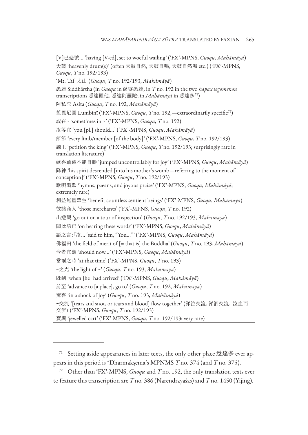[V]已悲號... 'having [V-ed], set to woeful wailing' ('FX'-MPNS, *Guoqu*, *Mahāmāyā*) 天鼓 'heavenly drum(s)' (often 天鼓自然, 天鼓自鳴, 天鼓自然鳴 etc.) ('FX'-MPNS, *Guoqu*, *T* no. 192/193) 'Mt. Tai' 太山 (*Guoqu*, *T* no. 192/193, *Mahāmāyā*) 悉達 Siddhārtha (in *Guoqu* in 薩婆悉達; in *T* no. 192 in the two *hapax legomenon* transcriptions 悉達羅他, 悉達阿羅陀; in *Mahāmāyā* in 悉達多71) 阿私陀 Asita (*Guoqu*, *T* no. 192, *Mahāmāyā*) 藍毘尼園 Lumbinī ('FX'-MPNS, *Guoqu*, *T* no. 192,—extraordinarily specific<sup>72</sup>) 或在~ 'sometimes in ~' ('FX'-MPNS, *Guoqu*, *T* no. 192) 汝等宜 'you [pl.] should...' ('FX'-MPNS, *Guoqu*, *Mahāmāyā*) 節節 'every limb/member [of the body]' ('FX'-MPNS, *Guoqu*, *T* no. 192/193) 諫王 'petition the king' ('FX'-MPNS, *Guoqu*, *T* no. 192/193; surprisingly rare in translation literature) 歡喜踊躍不能自勝 'jumped uncontrollably for joy' ('FX'-MPNS, *Guoqu*, *Mahāmāyā*) 降神 'his spirit descended [into his mother's womb—referring to the moment of conception]' ('FX'-MPNS, *Guoqu*, *T* no. 192/193) 歌唄讚歎 'hymns, paeans, and joyous praise' ('FX'-MPNS, *Guoqu*, *Mahāmāyā*; extremely rare) 利益無量眾生 'benefit countless sentient beings' ('FX'-MPNS, *Guoqu*, *Mahāmāyā*) 彼諸商人 'those merchants' ('FX'-MPNS, *Guoqu*, *T* no. 192) 出遊觀 'go out on a tour of inspection' (*Guoqu*, *T* no. 192/193, *Mahāmāyā*) 聞此語已 'on hearing these words' ('FX'-MPNS, *Guoqu*, *Mahāmāyā*) 語之言:「汝... 'said to him, "You..."' ('FX'-MPNS, *Guoqu*, *Mahāmāyā*) 佛福田 'the field of merit of [= that is] the Buddha' (*Guoqu*, *T* no. 193, *Mahāmāyā*) 今者宜應 'should now...' ('FX'-MPNS, *Guoqu*, *Mahāmāyā*) 當爾之時 'at that time' ('FX'-MPNS, *Guoqu*, *T* no. 193) ~之光 'the light of ~' (*Guoqu*, *T* no. 193, *Mahāmāyā*) 既到 'when [he] had arrived' ('FX'-MPNS, *Guoqu*, *Mahāmāyā*) 前至 'advance to [a place], go to' (*Guoqu*, *T* no. 192, *Mahāmāyā*) 驚喜 'in a shock of joy' (*Guoqu*, *T* no. 193, *Mahāmāyā*) ~交流 '[tears and snot, or tears and blood] flow together' (涕泣交流, 涕泗交流, 泣血而 交流) ('FX'-MPNS, *Guoqu*, *T* no. 192/193) 寶輿 'jewelled cart' ('FX'-MPNS, *Guoqu*, *T* no. 192/193; very rare)

 $71$  Setting aside appearances in later texts, the only other place 悉達多 ever appears in this period is \*Dharmakṣema's MPNMS *T* no. 374 (and *T* no. 375).

Other than 'FX'-MPNS, *Guoqu* and *T* no. 192, the only translation texts ever to feature this transcription are *T* no. 386 (Narendrayaśas) and *T* no. 1450 (Yijing).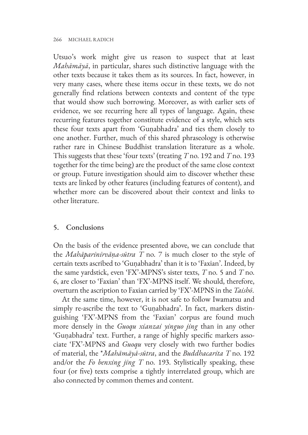Utsuo's work might give us reason to suspect that at least *Mahāmāyā*, in particular, shares such distinctive language with the other texts because it takes them as its sources. In fact, however, in very many cases, where these items occur in these texts, we do not generally find relations between contexts and content of the type that would show such borrowing. Moreover, as with earlier sets of evidence, we see recurring here all types of language. Again, these recurring features together constitute evidence of a style, which sets these four texts apart from 'Guṇabhadra' and ties them closely to one another. Further, much of this shared phraseology is otherwise rather rare in Chinese Buddhist translation literature as a whole. This suggests that these 'four texts' (treating *T* no. 192 and *T* no. 193 together for the time being) are the product of the same close context or group. Future investigation should aim to discover whether these texts are linked by other features (including features of content), and whether more can be discovered about their context and links to other literature.

## 5. Conclusions

On the basis of the evidence presented above, we can conclude that the *Mahāparinirvāṇa-sūtra T* no. 7 is much closer to the style of certain texts ascribed to 'Guṇabhadra' than it is to 'Faxian'. Indeed, by the same yardstick, even 'FX'-MPNS's sister texts, *T* no. 5 and *T* no. 6, are closer to 'Faxian' than 'FX'-MPNS itself. We should, therefore, overturn the ascription to Faxian carried by 'FX'-MPNS in the *Taishō*.

At the same time, however, it is not safe to follow Iwamatsu and simply re-ascribe the text to 'Guṇabhadra'. In fact, markers distinguishing 'FX'-MPNS from the 'Faxian' corpus are found much more densely in the *Guoqu xianzai yinguo jing* than in any other 'Guṇabhadra' text. Further, a range of highly specific markers associate 'FX'-MPNS and *Guoqu* very closely with two further bodies of material, the \**Mahāmāyā-sūtra*, and the *Buddhacarita T* no. 192 and/or the *Fo benxing jing T* no. 193. Stylistically speaking, these four (or five) texts comprise a tightly interrelated group, which are also connected by common themes and content.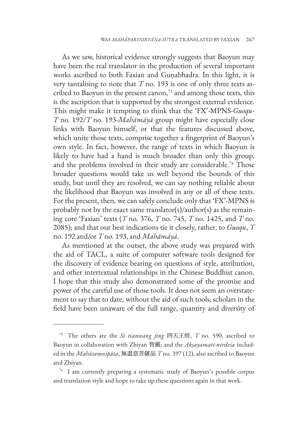As we saw, historical evidence strongly suggests that Baoyun may have been the real translator in the production of several important works ascribed to both Faxian and Guṇabhadra. In this light, it is very tantalising to note that *T* no. 193 is one of only three texts ascribed to Baoyun in the present canon, $73$  and among those texts, this is the ascription that is supported by the strongest external evidence. This might make it tempting to think that the 'FX'-MPNS-*Guoqu*-*T* no. 192/*T* no. 193-*Mahāmāyā* group might have especially close links with Baoyun himself, or that the features discussed above, which unite those texts, comprise together a fingerprint of Baoyun's own style. In fact, however, the range of texts in which Baoyun is likely to have had a hand is much broader than only this group, and the problems involved in their study are considerable.<sup>74</sup> Those broader questions would take us well beyond the bounds of this study, but until they are resolved, we can say nothing reliable about the likelihood that Baoyun was involved in any or all of these texts. For the present, then, we can safely conclude only that 'FX'-MPNS is probably not by the exact same translator(s)/author(s) as the remaining core 'Faxian' texts (*T* no. 376, *T* no. 745, *T* no. 1425, and *T* no. 2085); and that our best indications tie it closely, rather, to *Guoqu*, *T*  no. 192 and/or *T* no. 193, and *Mahāmāyā*.

As mentioned at the outset, the above study was prepared with the aid of TACL, a suite of computer software tools designed for the discovery of evidence bearing on questions of style, attribution, and other intertextual relationships in the Chinese Buddhist canon. I hope that this study also demonstrated some of the promise and power of the careful use of those tools. It does not seem an overstatement to say that to date, without the aid of such tools, scholars in the field have been unaware of the full range, quantity and diversity of

<sup>73</sup> The others are the *Si tianwang jing* 四天王經, *T* no. 590, ascribed to Baoyun in collaboration with Zhiyan 智嚴; and the *Akṣayamati-nirdeśa* included in the *Mahāsaṃnipāta*, 無盡意菩薩品 *T* no. 397 (12), also ascribed to Baoyun and Zhiyan.

<sup>&</sup>lt;sup>74</sup> I am currently preparing a systematic study of Baoyun's possible corpus and translation style and hope to take up these questions again in that work.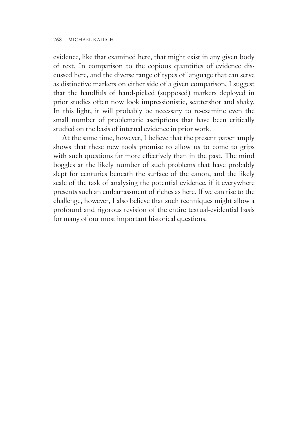evidence, like that examined here, that might exist in any given body of text. In comparison to the copious quantities of evidence discussed here, and the diverse range of types of language that can serve as distinctive markers on either side of a given comparison, I suggest that the handfuls of hand-picked (supposed) markers deployed in prior studies often now look impressionistic, scattershot and shaky. In this light, it will probably be necessary to re-examine even the small number of problematic ascriptions that have been critically studied on the basis of internal evidence in prior work.

At the same time, however, I believe that the present paper amply shows that these new tools promise to allow us to come to grips with such questions far more effectively than in the past. The mind boggles at the likely number of such problems that have probably slept for centuries beneath the surface of the canon, and the likely scale of the task of analysing the potential evidence, if it everywhere presents such an embarrassment of riches as here. If we can rise to the challenge, however, I also believe that such techniques might allow a profound and rigorous revision of the entire textual-evidential basis for many of our most important historical questions.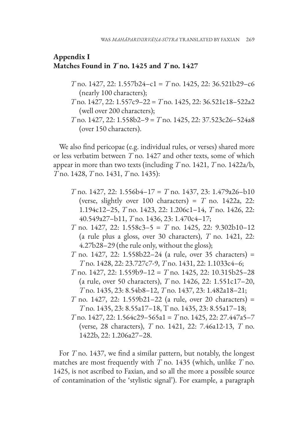## **Appendix I Matches Found in**  $T$  **no. 1425 and**  $T$  **no. 1427**

- *T* no. 1427, 22: 1.557b24–c1 = *T* no. 1425, 22: 36.521b29–c6 (nearly 100 characters);
- *T* no. 1427, 22: 1.557c9–22 = *T* no. 1425, 22: 36.521c18–522a2 (well over 200 characters);
- *T* no. 1427, 22: 1.558b2–9 = *T* no. 1425, 22: 37.523c26–524a8 (over 150 characters).

We also find pericopae (e.g. individual rules, or verses) shared more or less verbatim between *T* no. 1427 and other texts, some of which appear in more than two texts (including *T* no. 1421, *T* no. 1422a/b, *T* no. 1428, *T* no. 1431, *T* no. 1435):

- *T* no. 1427, 22: 1.556b4–17 = *T* no. 1437, 23: 1.479a26–b10 (verse, slightly over  $100$  characters) =  $T$  no. 1422a, 22: 1.194c12–25, *T* no. 1423, 22: 1.206c1–14, *T* no. 1426, 22: 40.549a27–b11, *T* no. 1436, 23: 1.470c4–17;
- *T* no. 1427, 22: 1.558c3–5 = *T* no. 1425, 22: 9.302b10–12 (a rule plus a gloss, over 30 characters), *T* no. 1421, 22: 4.27b28–29 (the rule only, without the gloss);
- *T* no. 1427, 22: 1.558b22–24 (a rule, over 35 characters) = *T* no. 1428, 22: 23.727c7-9, *T* no. 1431, 22: 1.1033c4–6;
- *T* no. 1427, 22: 1.559b9–12 = *T* no. 1425, 22: 10.315b25–28 (a rule, over 50 characters), *T* no. 1426, 22: 1.551c17–20, *T* no. 1435, 23: 8.54b8–12, *T* no. 1437, 23: 1.482a18–21;
- *T* no. 1427, 22: 1.559b21–22 (a rule, over 20 characters) = *T* no. 1435, 23: 8.55a17–18, T no. 1435, 23: 8.55a17–18;
- *T* no. 1427, 22: 1.564c29–565a1 = *T* no. 1425, 22: 27.447a5–7 (verse, 28 characters), *T* no. 1421, 22: 7.46a12-13, *T* no. 1422b, 22: 1.206a27–28.

For *T* no. 1437, we find a similar pattern, but notably, the longest matches are most frequently with *T* no. 1435 (which, unlike *T* no. 1425, is not ascribed to Faxian, and so all the more a possible source of contamination of the 'stylistic signal'). For example, a paragraph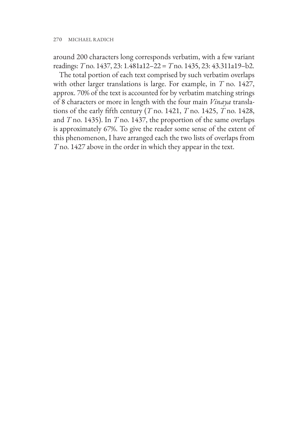around 200 characters long corresponds verbatim, with a few variant readings: *T* no. 1437, 23: 1.481a12–22 = *T* no. 1435, 23: 43.311a19–b2.

The total portion of each text comprised by such verbatim overlaps with other larger translations is large. For example, in *T* no. 1427, approx. 70% of the text is accounted for by verbatim matching strings of 8 characters or more in length with the four main *Vinaya* translations of the early fifth century (*T* no. 1421, *T* no. 1425, *T* no. 1428, and *T* no. 1435). In *T* no. 1437, the proportion of the same overlaps is approximately 67%. To give the reader some sense of the extent of this phenomenon, I have arranged each the two lists of overlaps from *T* no. 1427 above in the order in which they appear in the text.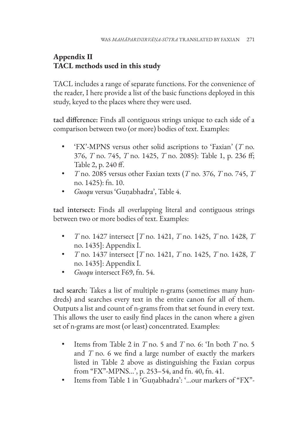# **Appendix II TACL methods used in this study**

TACL includes a range of separate functions. For the convenience of the reader, I here provide a list of the basic functions deployed in this study, keyed to the places where they were used.

tacl difference: Finds all contiguous strings unique to each side of a comparison between two (or more) bodies of text. Examples:

- 'FX'-MPNS versus other solid ascriptions to 'Faxian' (*T* no. 376, *T* no. 745, *T* no. 1425, *T* no. 2085): Table 1, p. 236 ff; Table 2, p. 240 ff.
- *T* no. 2085 versus other Faxian texts (*T* no. 376, *T* no. 745, *T* no. 1425): fn. 10.
- *Guoqu* versus 'Guṇabhadra', Table 4.

tacl intersect: Finds all overlapping literal and contiguous strings between two or more bodies of text. Examples:

- *T* no. 1427 intersect [*T* no. 1421, *T* no. 1425, *T* no. 1428, *T* no. 1435]: Appendix I.
- *T* no. 1437 intersect [*T* no. 1421, *T* no. 1425, *T* no. 1428, *T* no. 1435]: Appendix I.
- *Guoqu* intersect F69, fn. 54.

tacl search: Takes a list of multiple n-grams (sometimes many hundreds) and searches every text in the entire canon for all of them. Outputs a list and count of n-grams from that set found in every text. This allows the user to easily find places in the canon where a given set of n-grams are most (or least) concentrated. Examples:

- Items from Table 2 in *T* no. 5 and *T* no. 6: 'In both *T* no. 5 and *T* no. 6 we find a large number of exactly the markers listed in Table 2 above as distinguishing the Faxian corpus from "FX"-MPNS...', p. 253–54, and fn. 40, fn. 41.
- Items from Table 1 in 'Guṇabhadra': '...our markers of "FX"-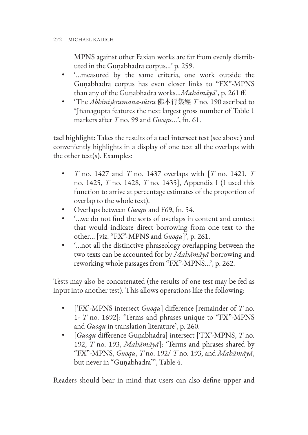MPNS against other Faxian works are far from evenly distributed in the Guṇabhadra corpus...' p. 259.

- '...measured by the same criteria, one work outside the Guṇabhadra corpus has even closer links to "FX"-MPNS than any of the Guṇabhadra works...*Mahāmāyā*', p. 261 ff.
- 'The *Abhiniṣkramana-sūtra* 佛本行集經 *T* no. 190 ascribed to \*Jñānagupta features the next largest gross number of Table 1 markers after *T* no. 99 and *Guoqu*...', fn. 61.

tacl highlight: Takes the results of a tacl intersect test (see above) and conveniently highlights in a display of one text all the overlaps with the other text(s). Examples:

- *T* no. 1427 and *T* no. 1437 overlaps with [*T* no. 1421, *T* no. 1425, *T* no. 1428, *T* no. 1435], Appendix I (I used this function to arrive at percentage estimates of the proportion of overlap to the whole text).
- Overlaps between *Guoqu* and F69, fn. 54.
- '...we do not find the sorts of overlaps in content and context that would indicate direct borrowing from one text to the other... [viz. "FX"-MPNS and *Guoqu*]', p. 261.
- '...not all the distinctive phraseology overlapping between the two texts can be accounted for by *Mahāmāyā* borrowing and reworking whole passages from "FX"-MPNS...', p. 262.

Tests may also be concatenated (the results of one test may be fed as input into another test). This allows operations like the following:

- ['FX'-MPNS intersect *Guoqu*] difference [remainder of *T* no. 1- *T* no. 1692]: 'Terms and phrases unique to "FX"-MPNS and *Guoqu* in translation literature', p. 260.
- [*Guoqu* difference Guṇabhadra] intersect ['FX'-MPNS, *T* no. 192, *T* no. 193, *Mahāmāyā*]: 'Terms and phrases shared by "FX"-MPNS, *Guoqu*, *T* no. 192/ *T* no. 193, and *Mahāmāyā*, but never in "Guṇabhadra"', Table 4.

Readers should bear in mind that users can also define upper and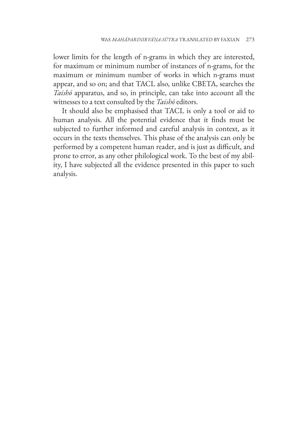lower limits for the length of n-grams in which they are interested, for maximum or minimum number of instances of n-grams, for the maximum or minimum number of works in which n-grams must appear, and so on; and that TACL also, unlike CBETA, searches the *Taishō* apparatus, and so, in principle, can take into account all the witnesses to a text consulted by the *Taishō* editors.

It should also be emphasised that TACL is only a tool or aid to human analysis. All the potential evidence that it finds must be subjected to further informed and careful analysis in context, as it occurs in the texts themselves. This phase of the analysis can only be performed by a competent human reader, and is just as difficult, and prone to error, as any other philological work. To the best of my ability, I have subjected all the evidence presented in this paper to such analysis.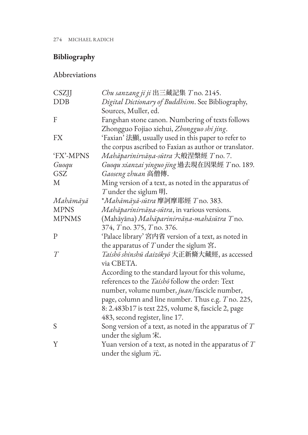# **Bibliography**

# Abbreviations

| CSZJJ        | Chu sanzang ji ji 出三藏記集 $T$ no. 2145.                                                               |
|--------------|-----------------------------------------------------------------------------------------------------|
| <b>DDB</b>   | Digital Dictionary of Buddhism. See Bibliography,                                                   |
|              | Sources, Muller, ed.                                                                                |
| F            | Fangshan stone canon. Numbering of texts follows                                                    |
|              | Zhongguo Fojiao xiehui, Zhongguo shi jing.                                                          |
| <b>FX</b>    | 'Faxian' 法顯, usually used in this paper to refer to                                                 |
|              | the corpus ascribed to Faxian as author or translator.                                              |
| 'FX'-MPNS    | Mahāparinirvāņa-sūtra 大般涅槃經 T no. 7.                                                                |
| Guoqu        | Guoqu xianzai yinguo jing 過去現在因果經 T no. 189.                                                        |
| GSZ          | Gaoseng zhuan 高僧傳.                                                                                  |
| M            | Ming version of a text, as noted in the apparatus of                                                |
|              | $T$ under the siglum 明.                                                                             |
| Mahāmāyā     | *Mahāmāyā-sūtra 摩訶摩耶經 T no. 383.                                                                    |
| <b>MPNS</b>  | Mahāparinirvāņa-sūtra, in various versions.                                                         |
| <b>MPNMS</b> | (Mahāyāna) Mahāparinirvāņa-mahāsūtra Tno.                                                           |
|              | 374, T no. 375, T no. 376.                                                                          |
| $\mathbf{P}$ | 'Palace library' 宮内省 version of a text, as noted in                                                 |
|              | the apparatus of $T$ under the siglum $\mathbb{\ddot{B}}$ .                                         |
| T            | Taishō shinshū daizōkyō 大正新脩大藏經, as accessed                                                        |
|              | via CBETA.                                                                                          |
|              | According to the standard layout for this volume,                                                   |
|              | references to the <i>Taishō</i> follow the order: Text                                              |
|              | number, volume number, juan/fascicle number,                                                        |
|              | page, column and line number. Thus e.g. T no. 225,                                                  |
|              | 8: 2.483b17 is text 225, volume 8, fascicle 2, page                                                 |
|              | 483, second register, line 17.                                                                      |
| S            | Song version of a text, as noted in the apparatus of $T$<br>under the siglum $\ddot{\mathcal{R}}$ . |
| Y            | Yuan version of a text, as noted in the apparatus of $T$                                            |
|              | under the siglum $\vec{\pi}$ .                                                                      |
|              |                                                                                                     |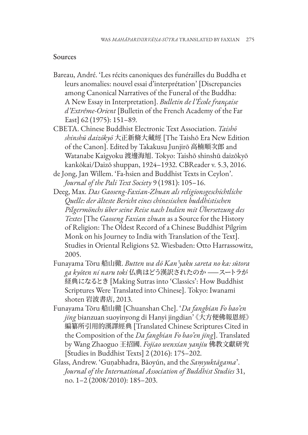## Sources

- Bareau, André. 'Les récits canoniques des funérailles du Buddha et leurs anomalies: nouvel essai d'interprétation' [Discrepancies among Canonical Narratives of the Funeral of the Buddha: A New Essay in Interpretation]. *Bulletin de l'École française d'Extrême-Orient* [Bulletin of the French Academy of the Far East] 62 (1975): 151–89.
- CBETA. Chinese Buddhist Electronic Text Association. *Taishō shinshū daizōkyō* 大正新脩大藏經 [The Taishō Era New Edition of the Canon]. Edited by Takakusu Junjirō 高楠順次郎 and Watanabe Kaigyoku 渡邊海旭. Tokyo: Taishō shinshū daizōkyō kankōkai/Daizō shuppan, 1924–1932. CBReader v. 5.3, 2016.
- de Jong, Jan Willem. 'Fa-hsien and Buddhist Texts in Ceylon'. *Journal of the Pali Text Society* 9 (1981): 105–16.
- Deeg, Max. *Das Gaoseng-Faxian-Zhuan als religionsgeschichtliche Quelle: der älteste Bericht eines chinesischen buddhistischen Pilgermönchs über seine Reise nach Indien mit Übersetzung des Textes* [The *Gaoseng Faxian zhuan* as a Source for the History of Religion: The Oldest Record of a Chinese Buddhist Pilgrim Monk on his Journey to India with Translation of the Text]. Studies in Oriental Religions 52. Wiesbaden: Otto Harrassowitz, 2005.
- Funayama Tōru 船山徹. *Butten wa dō Kan'yaku sareta no ka: sūtora ga kyōten ni naru toki* 仏典はどう漢訳されたのか ——スートラが 経典になるとき [Making Sutras into 'Classics': How Buddhist Scriptures Were Translated into Chinese]. Tokyo: Iwanami shoten 岩波書店, 2013.
- Funayama Tōru 船山徹 [Chuanshan Che]. '*Da fangbian Fo bao'en jing* bianzuan suoyinyong di Hanyi jingdian' 《大方便佛報恩經》 編纂所引用的漢譯經典 [Translated Chinese Scriptures Cited in the Composition of the *Da fangbian Fo bao'en jing*]. Translated by Wang Zhaoguo 王招國. *Fojiao wenxian yanjiu* 佛教文獻研究 [Studies in Buddhist Texts] 2 (2016): 175–202.
- Glass, Andrew. 'Guṇabhadra, Bǎoyún, and the *Saṃyuktāgama*'. *Journal of the International Association of Buddhist Studies* 31, no. 1–2 (2008/2010): 185–203.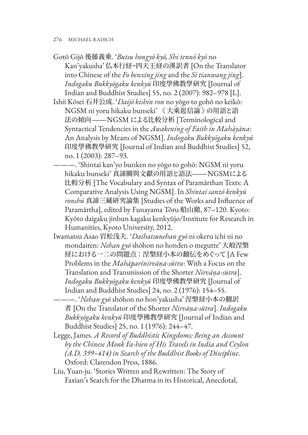Gotō Gijō 後藤義乗. '*Butsu hongyō kyō, Shi tennō kyō* no Kan'yakusha' 仏本行経・四天王経の漢訳者 [On the Translator into Chinese of the *Fo benxing jing* and the *Si tianwang jing*]. *Indogaku Bukkyōgaku kenkyū* 印度學佛教學研究 [Journal of Indian and Buddhist Studies] 55, no. 2 (2007): 982–978 [L].

Ishii Kōsei 石井公成. '*Daijō kishin ron* no yōgo to gohō no keikō: NGSM ni yoru hikaku bunseki' 《 大乘起信論 》の用語と語 法の傾向―NGSM による比較分析 [Terminological and Syntactical Tendencies in the *Awakening of Faith in Mahāyāna*: An Analysis by Means of NGSM]. *Indogaku Bukkyōgaku kenkyū* 印度學佛教學研究 [Journal of Indian and Buddhist Studies] 52, no. 1 (2003): 287–93.

———. 'Shintai kan'yo bunken no yōgo to gohō: NGSM ni yoru hikaku bunseki' 真諦關與文獻の用語と語法―NGSMによる 比較分析 [The Vocabulary and Syntax of Paramārthan Texts: A Comparative Analysis Using NGSM]. In *Shintai sanzō kenkyū ronshū* 真諦三藏研究論集 [Studies of the Works and Influence of Paramārtha], edited by Funayama Tōru 船山徹, 87–120. Kyoto: Kyōto daigaku jinbun kagaku kenkyūjo/Institute for Research in Humanities, Kyoto University, 2012.

Iwamatsu Asao 岩松浅夫. '*Daihatsunehan gyō* ni okeru ichi ni no mondaiten: *Nehan gyō* shōhon no honden o megutte' 大般涅槃 経における一二の問題点:涅槃経小本の翻伝をめぐって [A Few Problems in the *Mahāparinirvāṇa-sūtra*: With a Focus on the Translation and Transmission of the Shorter *Nirvāṇa-sūtra*]. *Indogaku Bukkyōgaku kenkyū* 印度學佛教學研究 [Journal of Indian and Buddhist Studies] 24, no. 2 (1976): 154–55.

———. '*Nehan gyō* shōhon no hon'yakusha' 涅槃経小本の翻訳 者 [On the Translator of the Shorter *Nirvāṇa-sūtra*]. *Indogaku Bukkyōgaku kenkyū* 印度學佛教學研究 [Journal of Indian and Buddhist Studies] 25, no. 1 (1976): 244–47.

- Legge, James. *A Record of Buddhistic Kingdoms: Being an Account by the Chinese Monk Fa-hien of His Travels in India and Ceylon (A.D. 399–414) in Search of the Buddhist Books of Discipline*. Oxford: Clarendon Press, 1886.
- Liu, Yuan-ju. 'Stories Written and Rewritten: The Story of Faxian's Search for the Dharma in its Historical, Anecdotal,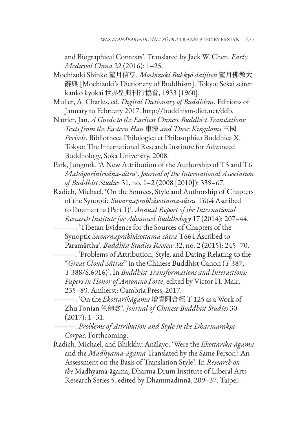and Biographical Contexts'. Translated by Jack W. Chen. *Early Medieval China* 22 (2016): 1–25.

- Mochizuki Shinkō 望月信亨. *Mochizuki Bukkyō daijiten* 望月佛教大 辭典 [Mochizuki's Dictionary of Buddhism]. Tokyo: Sekai seiten kankō kyōkai 世界聖典刊行協會, 1933 [1960].
- Muller, A. Charles, ed. *Digital Dictionary of Buddhism*. Editions of January to February 2017. http://buddhism-dict.net/ddb.
- Nattier, Jan. *A Guide to the Earliest Chinese Buddhist Translations: Texts from the Eastern Han* 東漢 *and Three Kingdoms* 三國 *Periods*. Bibliotheca Philologica et Philosophica Buddhica X. Tokyo: The International Research Institute for Advanced Buddhology, Soka University, 2008.
- Park, Jungnok. 'A New Attribution of the Authorship of T5 and T6 *Mahāparinirvāṇa-sūtra*'. *Journal of the International Association of Buddhist Studies* 31, no. 1–2 (2008 [2010]): 339–67.
- Radich, Michael. 'On the Sources, Style and Authorship of Chapters of the Synoptic *Suvarṇaprabhāsottama-sūtra* T664 Ascribed to Paramārtha (Part 1)'. *Annual Report of the International Research Institute for Advanced Buddhology* 17 (2014): 207–44.
- ———. 'Tibetan Evidence for the Sources of Chapters of the Synoptic *Suvarṇaprabhāsottama-sūtra* T664 Ascribed to Paramārtha'. *Buddhist Studies Review* 32, no. 2 (2015): 245–70.
- ———. 'Problems of Attribution, Style, and Dating Relating to the "*Great Cloud Sūtras*" in the Chinese Buddhist Canon (*T* 387, *T* 388/S.6916)'. In *Buddhist Transformations and Interactions: Papers in Honor of Antonino Forte*, edited by Victor H. Mair, 235–89. Amherst: Cambria Press, 2017.
- ———. 'On the *Ekottarikāgama* 增壹阿含經 T 125 as a Work of Zhu Fonian 竺佛念'. *Journal of Chinese Buddhist Studies* 30 (2017): 1–31.

———. *Problems of Attribution and Style in the Dharmarakṣa Corpus*. Forthcoming.

Radich, Michael, and Bhikkhu Anālayo. 'Were the *Ekottarika-āgama* and the *Madhyama-āgama* Translated by the Same Person? An Assessment on the Basis of Translation Style'. In *Research on the* Madhyama-āgama, Dharma Drum Institute of Liberal Arts Research Series 5, edited by Dhammadinnā, 209–37. Taipei: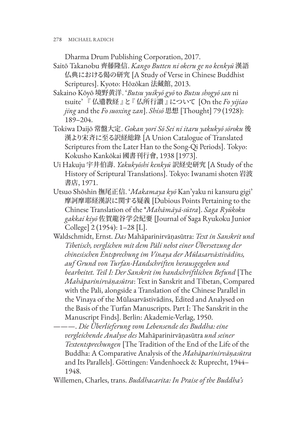Dharma Drum Publishing Corporation, 2017.

- Saitō Takanobu 齊藤隆信. *Kango Butten ni okeru ge no kenkyū* 漢語 仏典における偈の研究 [A Study of Verse in Chinese Buddhist Scriptures]. Kyoto: Hōzōkan 法藏館, 2013.
- Sakaino Kōyō 境野黄洋. '*Butsu yuikyō gyō* to *Butsu shogyō san* ni tsuite' 『 仏遺教経 』と『 仏所行讃 』について [On the *Fo yijiao jing* and the *Fo suoxing zan*]. *Shisō* 思想 [Thought] 79 (1928): 189–204.
- Tokiwa Daijō 常盤大定. *Gokan yori Sō Sei ni itaru yakukyō sōroku* 後 漢より宋斉に至る訳経総錄 [A Union Catalogue of Translated Scriptures from the Later Han to the Song-Qi Periods]. Tokyo: Kokusho Kankōkai 國書刊行會, 1938 [1973].
- Ui Hakuju 宇井伯壽. *Yakukyōshi kenkyū* 訳経史研究 [A Study of the History of Scriptural Translations]. Tokyo: Iwanami shoten 岩波 書店, 1971.
- Utsuo Shōshin 撫尾正信. '*Makamaya kyō* Kan'yaku ni kansuru gigi' 摩訶摩耶経漢訳に関する疑義 [Dubious Points Pertaining to the Chinese Translation of the \**Mahāmāyā-sūtra*]. *Saga Ryūkoku gakkai kiyō* 佐賀龍谷学会紀要 [Journal of Saga Ryukoku Junior College] 2 (1954): 1–28 [L].
- Waldschmidt, Ernst. *Das* Mahāparinirvāṇasūtra: *Text in Sanskrit und Tibetisch, verglichen mit dem Pāli nebst einer Übersetzung der chinesischen Entsprechung im Vinaya der Mūlasarvāstivādins, auf Grund von Turfan-Handschriften herausgegeben und bearbeitet. Teil I: Der Sanskrit im handschriftlichen Befund* [The *Mahāparinirvāṇasūtra*: Text in Sanskrit and Tibetan, Compared with the Pali, alongside a Translation of the Chinese Parallel in the Vinaya of the Mūlasarvāstivādins, Edited and Analysed on the Basis of the Turfan Manuscripts. Part I: The Sanskrit in the Manuscript Finds]. Berlin: Akademie-Verlag, 1950.

———. *Die Überlieferung vom Lebensende des Buddha: eine vergleichende Analyse des* Mahāparinirvāṇasūtra *und seiner Textentsprechungen* [The Tradition of the End of the Life of the Buddha: A Comparative Analysis of the *Mahāparinirvāṇasūtra* and Its Parallels]. Göttingen: Vandenhoeck & Ruprecht, 1944– 1948.

Willemen, Charles, trans. *Buddhacarita: In Praise of the Buddha's*